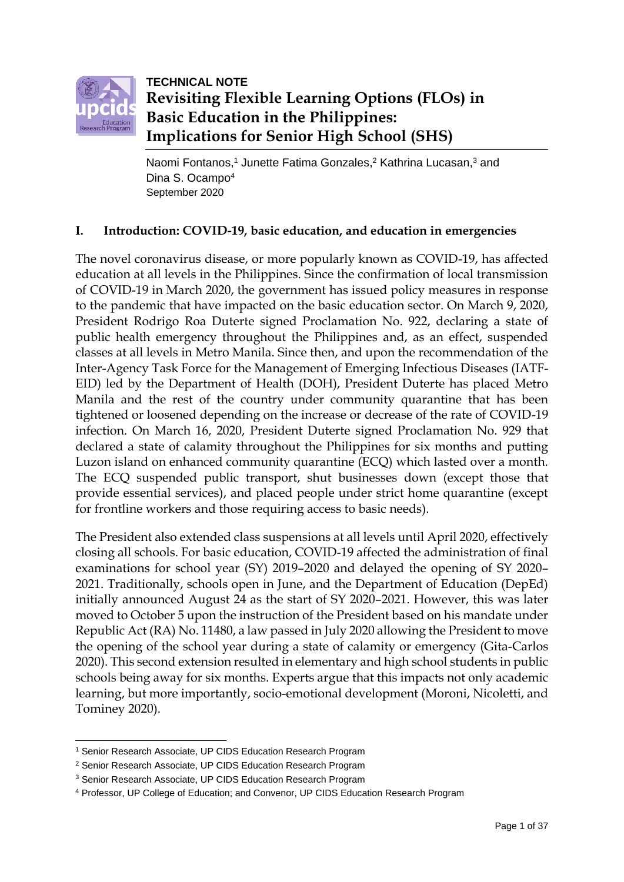

**TECHNICAL NOTE Revisiting Flexible Learning Options (FLOs) in Basic Education in the Philippines: Implications for Senior High School (SHS)**

Naomi Fontanos, <sup>1</sup> Junette Fatima Gonzales, <sup>2</sup> Kathrina Lucasan, <sup>3</sup> and Dina S. Ocampo<sup>4</sup> September 2020

## **I. Introduction: COVID-19, basic education, and education in emergencies**

The novel coronavirus disease, or more popularly known as COVID-19, has affected education at all levels in the Philippines. Since the confirmation of local transmission of COVID-19 in March 2020, the government has issued policy measures in response to the pandemic that have impacted on the basic education sector. On March 9, 2020, President Rodrigo Roa Duterte signed Proclamation No. 922, declaring a state of public health emergency throughout the Philippines and, as an effect, suspended classes at all levels in Metro Manila. Since then, and upon the recommendation of the Inter-Agency Task Force for the Management of Emerging Infectious Diseases (IATF-EID) led by the Department of Health (DOH), President Duterte has placed Metro Manila and the rest of the country under community quarantine that has been tightened or loosened depending on the increase or decrease of the rate of COVID-19 infection. On March 16, 2020, President Duterte signed Proclamation No. 929 that declared a state of calamity throughout the Philippines for six months and putting Luzon island on enhanced community quarantine (ECQ) which lasted over a month. The ECQ suspended public transport, shut businesses down (except those that provide essential services), and placed people under strict home quarantine (except for frontline workers and those requiring access to basic needs).

The President also extended class suspensions at all levels until April 2020, effectively closing all schools. For basic education, COVID-19 affected the administration of final examinations for school year (SY) 2019–2020 and delayed the opening of SY 2020– 2021. Traditionally, schools open in June, and the Department of Education (DepEd) initially announced August 24 as the start of SY 2020–2021. However, this was later moved to October 5 upon the instruction of the President based on his mandate under Republic Act (RA) No. 11480, a law passed in July 2020 allowing the President to move the opening of the school year during a state of calamity or emergency (Gita-Carlos 2020). This second extension resulted in elementary and high school students in public schools being away for six months. Experts argue that this impacts not only academic learning, but more importantly, socio-emotional development (Moroni, Nicoletti, and Tominey 2020).

1

<sup>1</sup> Senior Research Associate, UP CIDS Education Research Program

<sup>2</sup> Senior Research Associate, UP CIDS Education Research Program

<sup>3</sup> Senior Research Associate, UP CIDS Education Research Program

<sup>4</sup> Professor, UP College of Education; and Convenor, UP CIDS Education Research Program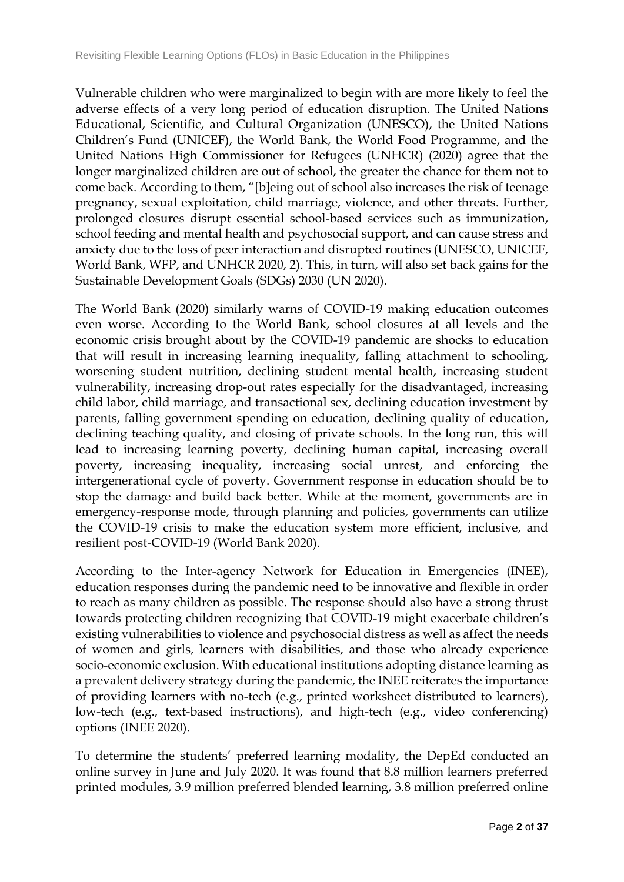Vulnerable children who were marginalized to begin with are more likely to feel the adverse effects of a very long period of education disruption. The United Nations Educational, Scientific, and Cultural Organization (UNESCO), the United Nations Children's Fund (UNICEF), the World Bank, the World Food Programme, and the United Nations High Commissioner for Refugees (UNHCR) (2020) agree that the longer marginalized children are out of school, the greater the chance for them not to come back. According to them, "[b]eing out of school also increases the risk of teenage pregnancy, sexual exploitation, child marriage, violence, and other threats. Further, prolonged closures disrupt essential school-based services such as immunization, school feeding and mental health and psychosocial support, and can cause stress and anxiety due to the loss of peer interaction and disrupted routines (UNESCO, UNICEF, World Bank, WFP, and UNHCR 2020, 2). This, in turn, will also set back gains for the Sustainable Development Goals (SDGs) 2030 (UN 2020).

The World Bank (2020) similarly warns of COVID-19 making education outcomes even worse. According to the World Bank, school closures at all levels and the economic crisis brought about by the COVID-19 pandemic are shocks to education that will result in increasing learning inequality, falling attachment to schooling, worsening student nutrition, declining student mental health, increasing student vulnerability, increasing drop-out rates especially for the disadvantaged, increasing child labor, child marriage, and transactional sex, declining education investment by parents, falling government spending on education, declining quality of education, declining teaching quality, and closing of private schools. In the long run, this will lead to increasing learning poverty, declining human capital, increasing overall poverty, increasing inequality, increasing social unrest, and enforcing the intergenerational cycle of poverty. Government response in education should be to stop the damage and build back better. While at the moment, governments are in emergency-response mode, through planning and policies, governments can utilize the COVID-19 crisis to make the education system more efficient, inclusive, and resilient post-COVID-19 (World Bank 2020).

According to the Inter-agency Network for Education in Emergencies (INEE), education responses during the pandemic need to be innovative and flexible in order to reach as many children as possible. The response should also have a strong thrust towards protecting children recognizing that COVID-19 might exacerbate children's existing vulnerabilities to violence and psychosocial distress as well as affect the needs of women and girls, learners with disabilities, and those who already experience socio-economic exclusion. With educational institutions adopting distance learning as a prevalent delivery strategy during the pandemic, the INEE reiterates the importance of providing learners with no-tech (e.g., printed worksheet distributed to learners), low-tech (e.g., text-based instructions), and high-tech (e.g., video conferencing) options (INEE 2020).

To determine the students' preferred learning modality, the DepEd conducted an online survey in June and July 2020. It was found that 8.8 million learners preferred printed modules, 3.9 million preferred blended learning, 3.8 million preferred online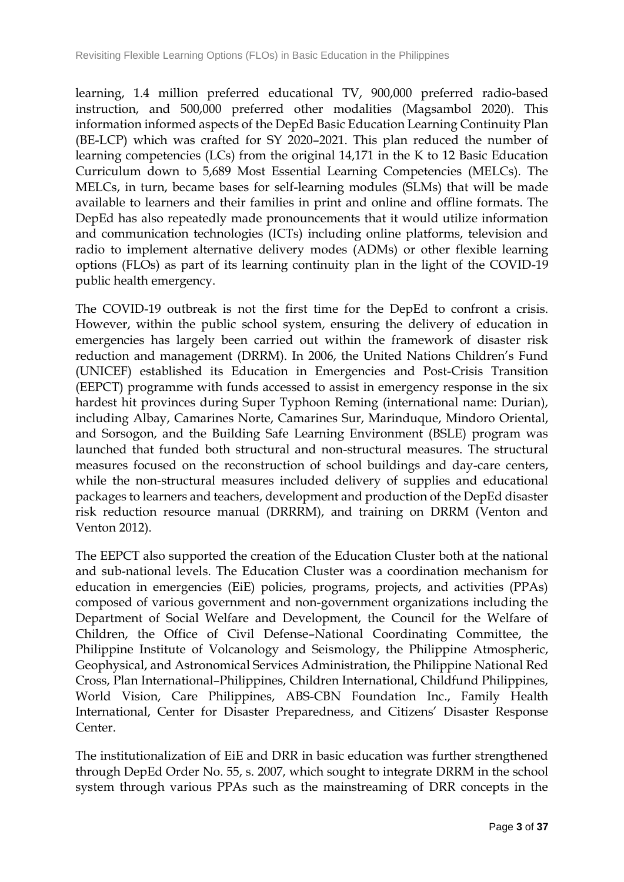learning, 1.4 million preferred educational TV, 900,000 preferred radio-based instruction, and 500,000 preferred other modalities (Magsambol 2020). This information informed aspects of the DepEd Basic Education Learning Continuity Plan (BE-LCP) which was crafted for SY 2020–2021. This plan reduced the number of learning competencies (LCs) from the original 14,171 in the K to 12 Basic Education Curriculum down to 5,689 Most Essential Learning Competencies (MELCs). The MELCs, in turn, became bases for self-learning modules (SLMs) that will be made available to learners and their families in print and online and offline formats. The DepEd has also repeatedly made pronouncements that it would utilize information and communication technologies (ICTs) including online platforms, television and radio to implement alternative delivery modes (ADMs) or other flexible learning options (FLOs) as part of its learning continuity plan in the light of the COVID-19 public health emergency.

The COVID-19 outbreak is not the first time for the DepEd to confront a crisis. However, within the public school system, ensuring the delivery of education in emergencies has largely been carried out within the framework of disaster risk reduction and management (DRRM). In 2006, the United Nations Children's Fund (UNICEF) established its Education in Emergencies and Post-Crisis Transition (EEPCT) programme with funds accessed to assist in emergency response in the six hardest hit provinces during Super Typhoon Reming (international name: Durian), including Albay, Camarines Norte, Camarines Sur, Marinduque, Mindoro Oriental, and Sorsogon, and the Building Safe Learning Environment (BSLE) program was launched that funded both structural and non-structural measures. The structural measures focused on the reconstruction of school buildings and day-care centers, while the non-structural measures included delivery of supplies and educational packages to learners and teachers, development and production of the DepEd disaster risk reduction resource manual (DRRRM), and training on DRRM (Venton and Venton 2012).

The EEPCT also supported the creation of the Education Cluster both at the national and sub-national levels. The Education Cluster was a coordination mechanism for education in emergencies (EiE) policies, programs, projects, and activities (PPAs) composed of various government and non-government organizations including the Department of Social Welfare and Development, the Council for the Welfare of Children, the Office of Civil Defense–National Coordinating Committee, the Philippine Institute of Volcanology and Seismology, the Philippine Atmospheric, Geophysical, and Astronomical Services Administration, the Philippine National Red Cross, Plan International–Philippines, Children International, Childfund Philippines, World Vision, Care Philippines, ABS-CBN Foundation Inc., Family Health International, Center for Disaster Preparedness, and Citizens' Disaster Response Center.

The institutionalization of EiE and DRR in basic education was further strengthened through DepEd Order No. 55, s. 2007, which sought to integrate DRRM in the school system through various PPAs such as the mainstreaming of DRR concepts in the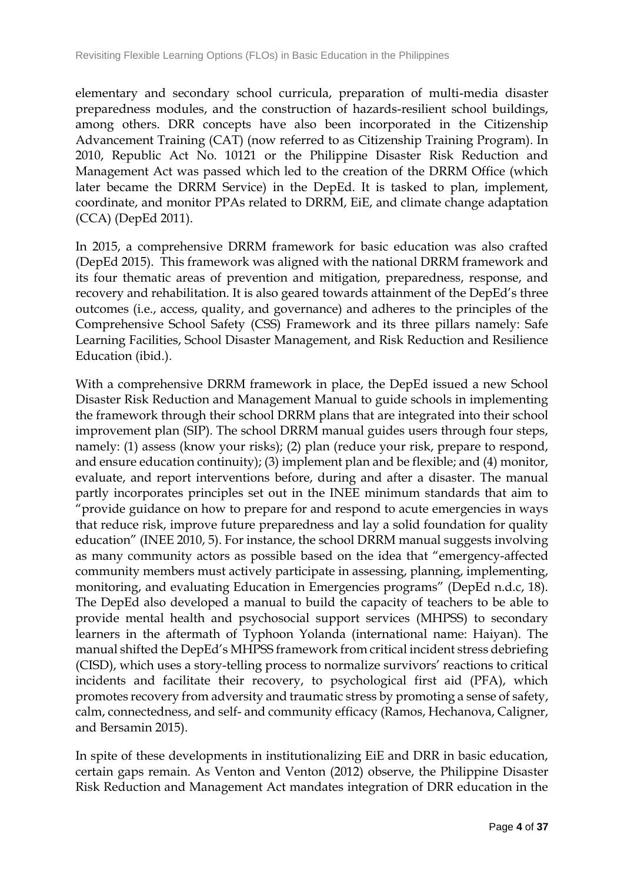elementary and secondary school curricula, preparation of multi-media disaster preparedness modules, and the construction of hazards-resilient school buildings, among others. DRR concepts have also been incorporated in the Citizenship Advancement Training (CAT) (now referred to as Citizenship Training Program). In 2010, Republic Act No. 10121 or the Philippine Disaster Risk Reduction and Management Act was passed which led to the creation of the DRRM Office (which later became the DRRM Service) in the DepEd. It is tasked to plan, implement, coordinate, and monitor PPAs related to DRRM, EiE, and climate change adaptation (CCA) (DepEd 2011).

In 2015, a comprehensive DRRM framework for basic education was also crafted (DepEd 2015). This framework was aligned with the national DRRM framework and its four thematic areas of prevention and mitigation, preparedness, response, and recovery and rehabilitation. It is also geared towards attainment of the DepEd's three outcomes (i.e., access, quality, and governance) and adheres to the principles of the Comprehensive School Safety (CSS) Framework and its three pillars namely: Safe Learning Facilities, School Disaster Management, and Risk Reduction and Resilience Education (ibid.).

With a comprehensive DRRM framework in place, the DepEd issued a new School Disaster Risk Reduction and Management Manual to guide schools in implementing the framework through their school DRRM plans that are integrated into their school improvement plan (SIP). The school DRRM manual guides users through four steps, namely: (1) assess (know your risks); (2) plan (reduce your risk, prepare to respond, and ensure education continuity); (3) implement plan and be flexible; and (4) monitor, evaluate, and report interventions before, during and after a disaster. The manual partly incorporates principles set out in the INEE minimum standards that aim to "provide guidance on how to prepare for and respond to acute emergencies in ways that reduce risk, improve future preparedness and lay a solid foundation for quality education" (INEE 2010, 5). For instance, the school DRRM manual suggests involving as many community actors as possible based on the idea that "emergency-affected community members must actively participate in assessing, planning, implementing, monitoring, and evaluating Education in Emergencies programs" (DepEd n.d.c, 18). The DepEd also developed a manual to build the capacity of teachers to be able to provide mental health and psychosocial support services (MHPSS) to secondary learners in the aftermath of Typhoon Yolanda (international name: Haiyan). The manual shifted the DepEd's MHPSS framework from critical incident stress debriefing (CISD), which uses a story-telling process to normalize survivors' reactions to critical incidents and facilitate their recovery, to psychological first aid (PFA), which promotes recovery from adversity and traumatic stress by promoting a sense of safety, calm, connectedness, and self- and community efficacy (Ramos, Hechanova, Caligner, and Bersamin 2015).

In spite of these developments in institutionalizing EiE and DRR in basic education, certain gaps remain. As Venton and Venton (2012) observe, the Philippine Disaster Risk Reduction and Management Act mandates integration of DRR education in the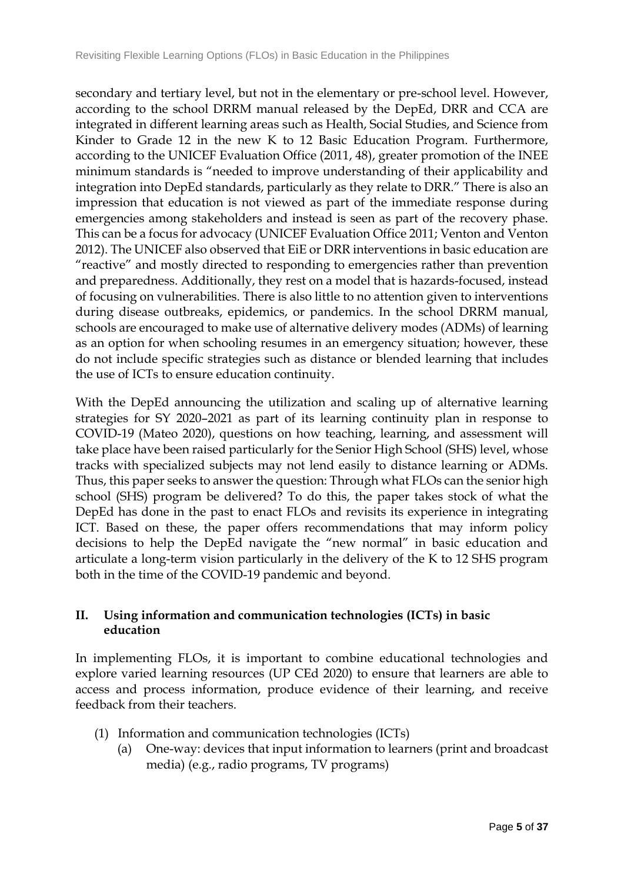secondary and tertiary level, but not in the elementary or pre-school level. However, according to the school DRRM manual released by the DepEd, DRR and CCA are integrated in different learning areas such as Health, Social Studies, and Science from Kinder to Grade 12 in the new K to 12 Basic Education Program. Furthermore, according to the UNICEF Evaluation Office (2011, 48), greater promotion of the INEE minimum standards is "needed to improve understanding of their applicability and integration into DepEd standards, particularly as they relate to DRR." There is also an impression that education is not viewed as part of the immediate response during emergencies among stakeholders and instead is seen as part of the recovery phase. This can be a focus for advocacy (UNICEF Evaluation Office 2011; Venton and Venton 2012). The UNICEF also observed that EiE or DRR interventions in basic education are "reactive" and mostly directed to responding to emergencies rather than prevention and preparedness. Additionally, they rest on a model that is hazards-focused, instead of focusing on vulnerabilities. There is also little to no attention given to interventions during disease outbreaks, epidemics, or pandemics. In the school DRRM manual, schools are encouraged to make use of alternative delivery modes (ADMs) of learning as an option for when schooling resumes in an emergency situation; however, these do not include specific strategies such as distance or blended learning that includes the use of ICTs to ensure education continuity.

With the DepEd announcing the utilization and scaling up of alternative learning strategies for SY 2020–2021 as part of its learning continuity plan in response to COVID-19 (Mateo 2020), questions on how teaching, learning, and assessment will take place have been raised particularly for the Senior High School (SHS) level, whose tracks with specialized subjects may not lend easily to distance learning or ADMs. Thus, this paper seeks to answer the question: Through what FLOs can the senior high school (SHS) program be delivered? To do this, the paper takes stock of what the DepEd has done in the past to enact FLOs and revisits its experience in integrating ICT. Based on these, the paper offers recommendations that may inform policy decisions to help the DepEd navigate the "new normal" in basic education and articulate a long-term vision particularly in the delivery of the K to 12 SHS program both in the time of the COVID-19 pandemic and beyond.

# **II. Using information and communication technologies (ICTs) in basic education**

In implementing FLOs, it is important to combine educational technologies and explore varied learning resources (UP CEd 2020) to ensure that learners are able to access and process information, produce evidence of their learning, and receive feedback from their teachers.

- (1) Information and communication technologies (ICTs)
	- (a) One-way: devices that input information to learners (print and broadcast media) (e.g., radio programs, TV programs)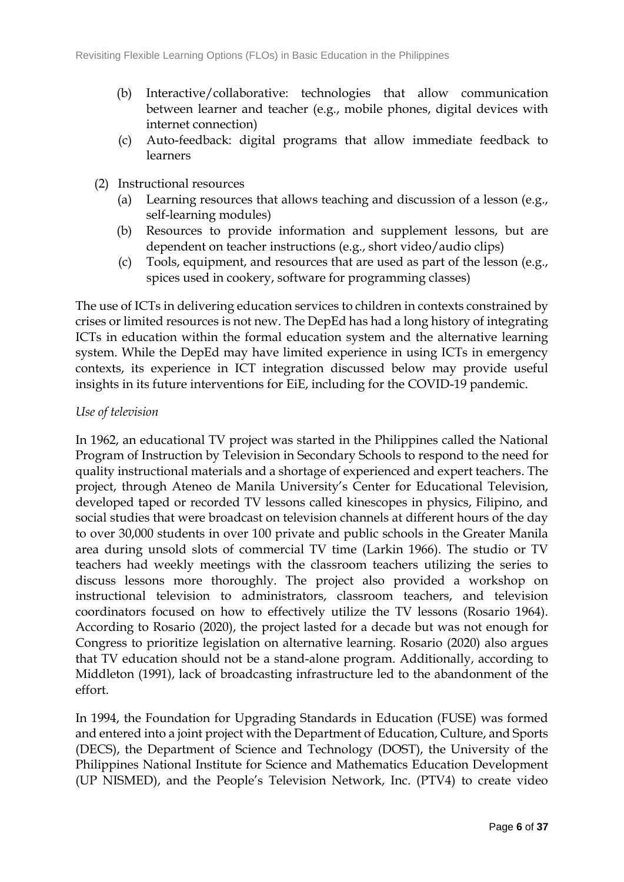- (b) Interactive/collaborative: technologies that allow communication between learner and teacher (e.g., mobile phones, digital devices with internet connection)
- (c) Auto-feedback: digital programs that allow immediate feedback to learners
- (2) Instructional resources
	- (a) Learning resources that allows teaching and discussion of a lesson (e.g., self-learning modules)
	- (b) Resources to provide information and supplement lessons, but are dependent on teacher instructions (e.g., short video/audio clips)
	- (c) Tools, equipment, and resources that are used as part of the lesson (e.g., spices used in cookery, software for programming classes)

The use of ICTs in delivering education services to children in contexts constrained by crises or limited resources is not new. The DepEd has had a long history of integrating ICTs in education within the formal education system and the alternative learning system. While the DepEd may have limited experience in using ICTs in emergency contexts, its experience in ICT integration discussed below may provide useful insights in its future interventions for EiE, including for the COVID-19 pandemic.

### *Use of television*

In 1962, an educational TV project was started in the Philippines called the National Program of Instruction by Television in Secondary Schools to respond to the need for quality instructional materials and a shortage of experienced and expert teachers. The project, through Ateneo de Manila University's Center for Educational Television, developed taped or recorded TV lessons called kinescopes in physics, Filipino, and social studies that were broadcast on television channels at different hours of the day to over 30,000 students in over 100 private and public schools in the Greater Manila area during unsold slots of commercial TV time (Larkin 1966). The studio or TV teachers had weekly meetings with the classroom teachers utilizing the series to discuss lessons more thoroughly. The project also provided a workshop on instructional television to administrators, classroom teachers, and television coordinators focused on how to effectively utilize the TV lessons (Rosario 1964). According to Rosario (2020), the project lasted for a decade but was not enough for Congress to prioritize legislation on alternative learning. Rosario (2020) also argues that TV education should not be a stand-alone program. Additionally, according to Middleton (1991), lack of broadcasting infrastructure led to the abandonment of the effort.

In 1994, the Foundation for Upgrading Standards in Education (FUSE) was formed and entered into a joint project with the Department of Education, Culture, and Sports (DECS), the Department of Science and Technology (DOST), the University of the Philippines National Institute for Science and Mathematics Education Development (UP NISMED), and the People's Television Network, Inc. (PTV4) to create video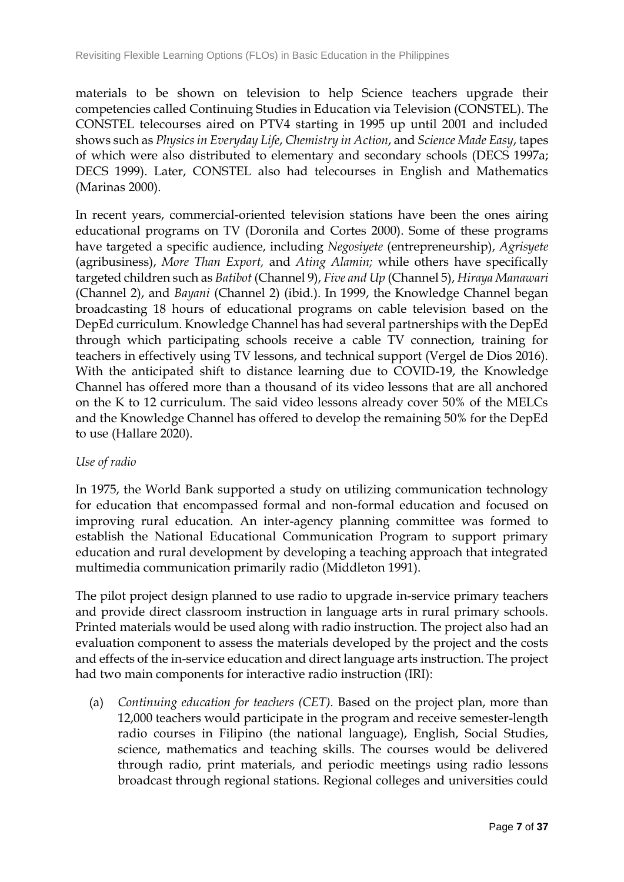materials to be shown on television to help Science teachers upgrade their competencies called Continuing Studies in Education via Television (CONSTEL). The CONSTEL telecourses aired on PTV4 starting in 1995 up until 2001 and included shows such as *Physics in Everyday Life*, *Chemistry in Action*, and *Science Made Easy*, tapes of which were also distributed to elementary and secondary schools (DECS 1997a; DECS 1999). Later, CONSTEL also had telecourses in English and Mathematics (Marinas 2000).

In recent years, commercial-oriented television stations have been the ones airing educational programs on TV (Doronila and Cortes 2000). Some of these programs have targeted a specific audience, including *Negosiyete* (entrepreneurship), *Agrisyete*  (agribusiness), *More Than Export,* and *Ating Alamin;* while others have specifically targeted children such as *Batibot* (Channel 9), *Five and Up* (Channel 5), *Hiraya Manawari*  (Channel 2), and *Bayani* (Channel 2) (ibid.). In 1999, the Knowledge Channel began broadcasting 18 hours of educational programs on cable television based on the DepEd curriculum. Knowledge Channel has had several partnerships with the DepEd through which participating schools receive a cable TV connection, training for teachers in effectively using TV lessons, and technical support (Vergel de Dios 2016). With the anticipated shift to distance learning due to COVID-19, the Knowledge Channel has offered more than a thousand of its video lessons that are all anchored on the K to 12 curriculum. The said video lessons already cover 50% of the MELCs and the Knowledge Channel has offered to develop the remaining 50% for the DepEd to use (Hallare 2020).

### *Use of radio*

In 1975, the World Bank supported a study on utilizing communication technology for education that encompassed formal and non-formal education and focused on improving rural education. An inter-agency planning committee was formed to establish the National Educational Communication Program to support primary education and rural development by developing a teaching approach that integrated multimedia communication primarily radio (Middleton 1991).

The pilot project design planned to use radio to upgrade in-service primary teachers and provide direct classroom instruction in language arts in rural primary schools. Printed materials would be used along with radio instruction. The project also had an evaluation component to assess the materials developed by the project and the costs and effects of the in-service education and direct language arts instruction. The project had two main components for interactive radio instruction (IRI):

(a) *Continuing education for teachers (CET).* Based on the project plan, more than 12,000 teachers would participate in the program and receive semester-length radio courses in Filipino (the national language), English, Social Studies, science, mathematics and teaching skills. The courses would be delivered through radio, print materials, and periodic meetings using radio lessons broadcast through regional stations. Regional colleges and universities could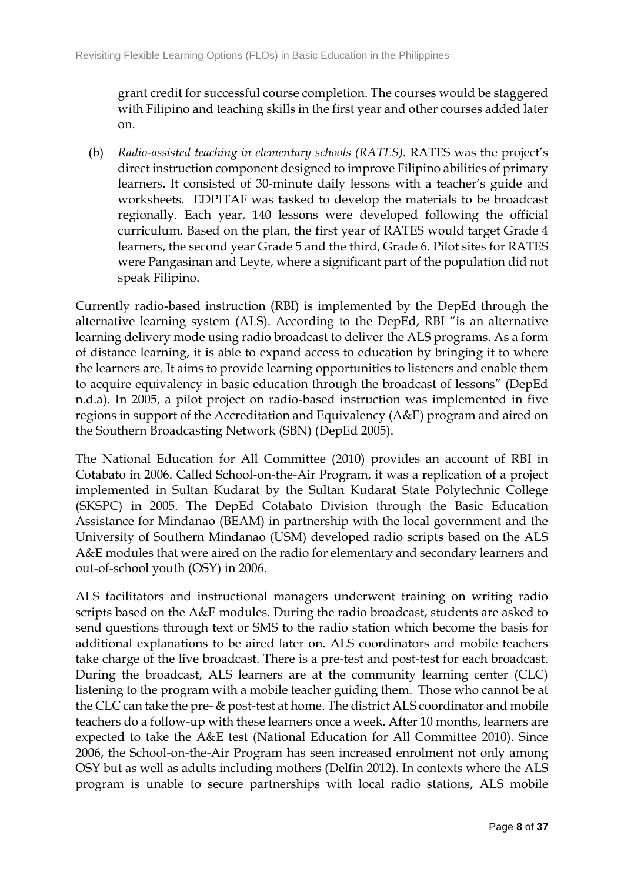grant credit for successful course completion. The courses would be staggered with Filipino and teaching skills in the first year and other courses added later on.

(b) *Radio-assisted teaching in elementary schools (RATES).* RATES was the project's direct instruction component designed to improve Filipino abilities of primary learners. It consisted of 30-minute daily lessons with a teacher's guide and worksheets. EDPITAF was tasked to develop the materials to be broadcast regionally. Each year, 140 lessons were developed following the official curriculum. Based on the plan, the first year of RATES would target Grade 4 learners, the second year Grade 5 and the third, Grade 6. Pilot sites for RATES were Pangasinan and Leyte, where a significant part of the population did not speak Filipino.

Currently radio-based instruction (RBI) is implemented by the DepEd through the alternative learning system (ALS). According to the DepEd, RBI "is an alternative learning delivery mode using radio broadcast to deliver the ALS programs. As a form of distance learning, it is able to expand access to education by bringing it to where the learners are. It aims to provide learning opportunities to listeners and enable them to acquire equivalency in basic education through the broadcast of lessons" (DepEd n.d.a). In 2005, a pilot project on radio-based instruction was implemented in five regions in support of the Accreditation and Equivalency (A&E) program and aired on the Southern Broadcasting Network (SBN) (DepEd 2005).

The National Education for All Committee (2010) provides an account of RBI in Cotabato in 2006. Called School-on-the-Air Program, it was a replication of a project implemented in Sultan Kudarat by the Sultan Kudarat State Polytechnic College (SKSPC) in 2005. The DepEd Cotabato Division through the Basic Education Assistance for Mindanao (BEAM) in partnership with the local government and the University of Southern Mindanao (USM) developed radio scripts based on the ALS A&E modules that were aired on the radio for elementary and secondary learners and out-of-school youth (OSY) in 2006.

ALS facilitators and instructional managers underwent training on writing radio scripts based on the A&E modules. During the radio broadcast, students are asked to send questions through text or SMS to the radio station which become the basis for additional explanations to be aired later on. ALS coordinators and mobile teachers take charge of the live broadcast. There is a pre-test and post-test for each broadcast. During the broadcast, ALS learners are at the community learning center (CLC) listening to the program with a mobile teacher guiding them. Those who cannot be at the CLC can take the pre- & post-test at home. The district ALS coordinator and mobile teachers do a follow-up with these learners once a week. After 10 months, learners are expected to take the A&E test (National Education for All Committee 2010). Since 2006, the School-on-the-Air Program has seen increased enrolment not only among OSY but as well as adults including mothers (Delfin 2012). In contexts where the ALS program is unable to secure partnerships with local radio stations, ALS mobile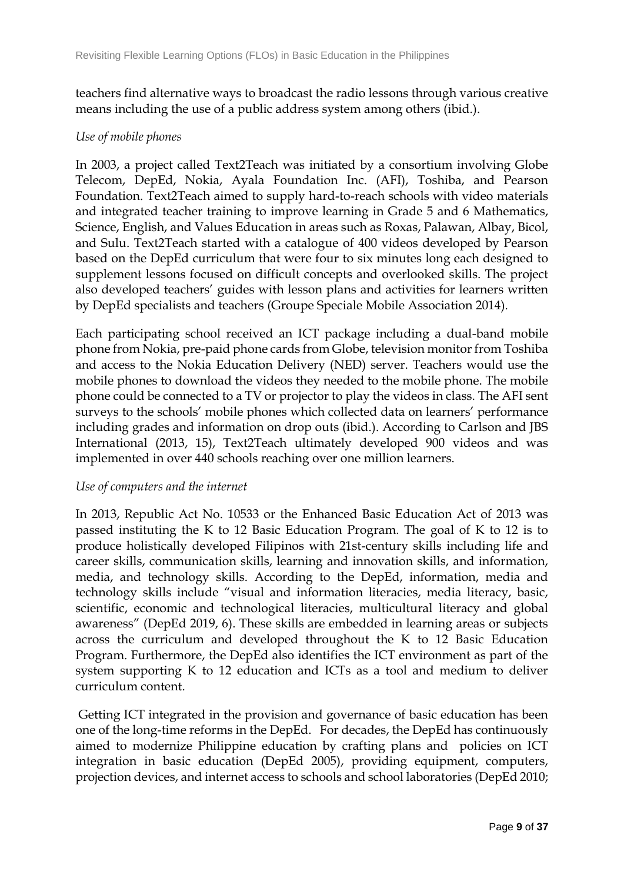teachers find alternative ways to broadcast the radio lessons through various creative means including the use of a public address system among others (ibid.).

### *Use of mobile phones*

In 2003, a project called Text2Teach was initiated by a consortium involving Globe Telecom, DepEd, Nokia, Ayala Foundation Inc. (AFI), Toshiba, and Pearson Foundation. Text2Teach aimed to supply hard-to-reach schools with video materials and integrated teacher training to improve learning in Grade 5 and 6 Mathematics, Science, English, and Values Education in areas such as Roxas, Palawan, Albay, Bicol, and Sulu. Text2Teach started with a catalogue of 400 videos developed by Pearson based on the DepEd curriculum that were four to six minutes long each designed to supplement lessons focused on difficult concepts and overlooked skills. The project also developed teachers' guides with lesson plans and activities for learners written by DepEd specialists and teachers (Groupe Speciale Mobile Association 2014).

Each participating school received an ICT package including a dual-band mobile phone from Nokia, pre-paid phone cards from Globe, television monitor from Toshiba and access to the Nokia Education Delivery (NED) server. Teachers would use the mobile phones to download the videos they needed to the mobile phone. The mobile phone could be connected to a TV or projector to play the videos in class. The AFI sent surveys to the schools' mobile phones which collected data on learners' performance including grades and information on drop outs (ibid.). According to Carlson and JBS International (2013, 15), Text2Teach ultimately developed 900 videos and was implemented in over 440 schools reaching over one million learners.

### *Use of computers and the internet*

In 2013, Republic Act No. 10533 or the Enhanced Basic Education Act of 2013 was passed instituting the K to 12 Basic Education Program. The goal of K to 12 is to produce holistically developed Filipinos with 21st-century skills including life and career skills, communication skills, learning and innovation skills, and information, media, and technology skills. According to the DepEd, information, media and technology skills include "visual and information literacies, media literacy, basic, scientific, economic and technological literacies, multicultural literacy and global awareness" (DepEd 2019, 6). These skills are embedded in learning areas or subjects across the curriculum and developed throughout the K to 12 Basic Education Program. Furthermore, the DepEd also identifies the ICT environment as part of the system supporting K to 12 education and ICTs as a tool and medium to deliver curriculum content.

Getting ICT integrated in the provision and governance of basic education has been one of the long-time reforms in the DepEd. For decades, the DepEd has continuously aimed to modernize Philippine education by crafting plans and policies on ICT integration in basic education (DepEd 2005), providing equipment, computers, projection devices, and internet access to schools and school laboratories (DepEd 2010;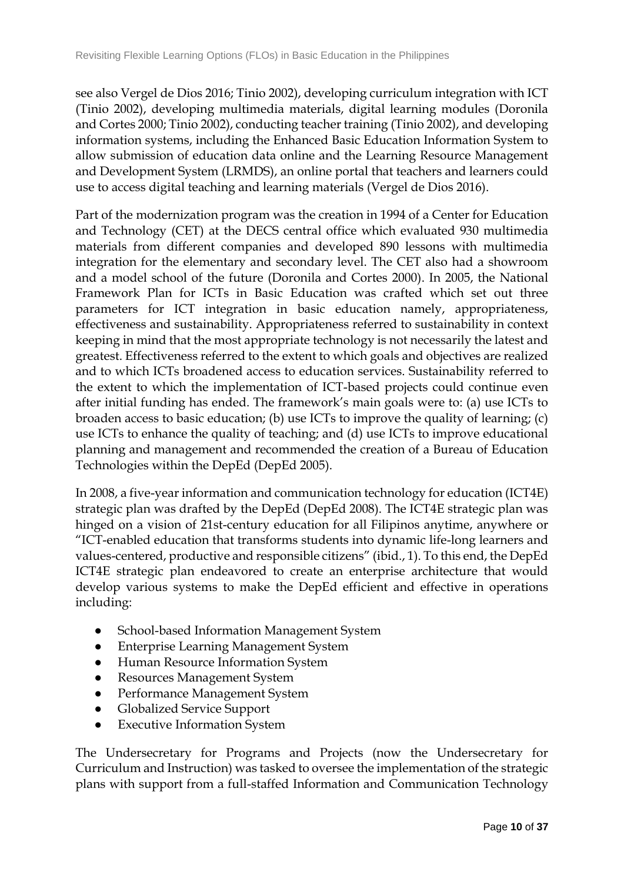see also Vergel de Dios 2016; Tinio 2002), developing curriculum integration with ICT (Tinio 2002), developing multimedia materials, digital learning modules (Doronila and Cortes 2000; Tinio 2002), conducting teacher training (Tinio 2002), and developing information systems, including the Enhanced Basic Education Information System to allow submission of education data online and the Learning Resource Management and Development System (LRMDS), an online portal that teachers and learners could use to access digital teaching and learning materials (Vergel de Dios 2016).

Part of the modernization program was the creation in 1994 of a Center for Education and Technology (CET) at the DECS central office which evaluated 930 multimedia materials from different companies and developed 890 lessons with multimedia integration for the elementary and secondary level. The CET also had a showroom and a model school of the future (Doronila and Cortes 2000). In 2005, the National Framework Plan for ICTs in Basic Education was crafted which set out three parameters for ICT integration in basic education namely, appropriateness, effectiveness and sustainability. Appropriateness referred to sustainability in context keeping in mind that the most appropriate technology is not necessarily the latest and greatest. Effectiveness referred to the extent to which goals and objectives are realized and to which ICTs broadened access to education services. Sustainability referred to the extent to which the implementation of ICT-based projects could continue even after initial funding has ended. The framework's main goals were to: (a) use ICTs to broaden access to basic education; (b) use ICTs to improve the quality of learning; (c) use ICTs to enhance the quality of teaching; and (d) use ICTs to improve educational planning and management and recommended the creation of a Bureau of Education Technologies within the DepEd (DepEd 2005).

In 2008, a five-year information and communication technology for education (ICT4E) strategic plan was drafted by the DepEd (DepEd 2008). The ICT4E strategic plan was hinged on a vision of 21st-century education for all Filipinos anytime, anywhere or "ICT-enabled education that transforms students into dynamic life-long learners and values-centered, productive and responsible citizens" (ibid., 1). To this end, the DepEd ICT4E strategic plan endeavored to create an enterprise architecture that would develop various systems to make the DepEd efficient and effective in operations including:

- School-based Information Management System
- Enterprise Learning Management System
- Human Resource Information System
- Resources Management System
- Performance Management System
- **Globalized Service Support**
- **Executive Information System**

The Undersecretary for Programs and Projects (now the Undersecretary for Curriculum and Instruction) was tasked to oversee the implementation of the strategic plans with support from a full-staffed Information and Communication Technology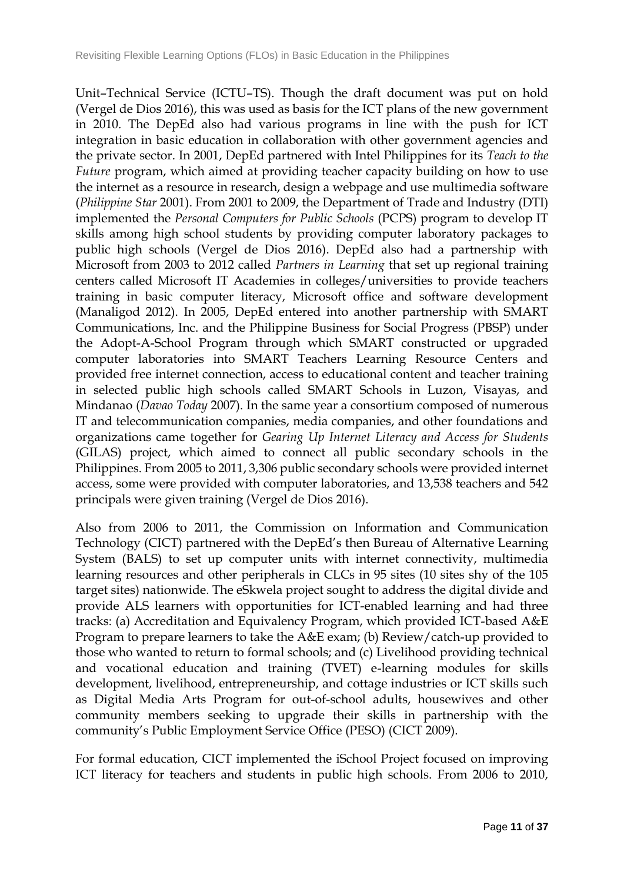Unit–Technical Service (ICTU–TS). Though the draft document was put on hold (Vergel de Dios 2016), this was used as basis for the ICT plans of the new government in 2010. The DepEd also had various programs in line with the push for ICT integration in basic education in collaboration with other government agencies and the private sector. In 2001, DepEd partnered with Intel Philippines for its *Teach to the Future* program, which aimed at providing teacher capacity building on how to use the internet as a resource in research, design a webpage and use multimedia software (*Philippine Star* 2001). From 2001 to 2009, the Department of Trade and Industry (DTI) implemented the *Personal Computers for Public Schools* (PCPS) program to develop IT skills among high school students by providing computer laboratory packages to public high schools (Vergel de Dios 2016). DepEd also had a partnership with Microsoft from 2003 to 2012 called *Partners in Learning* that set up regional training centers called Microsoft IT Academies in colleges/universities to provide teachers training in basic computer literacy, Microsoft office and software development (Manaligod 2012). In 2005, DepEd entered into another partnership with SMART Communications, Inc. and the Philippine Business for Social Progress (PBSP) under the Adopt-A-School Program through which SMART constructed or upgraded computer laboratories into SMART Teachers Learning Resource Centers and provided free internet connection, access to educational content and teacher training in selected public high schools called SMART Schools in Luzon, Visayas, and Mindanao (*Davao Today* 2007). In the same year a consortium composed of numerous IT and telecommunication companies, media companies, and other foundations and organizations came together for *Gearing Up Internet Literacy and Access for Students*  (GILAS) project, which aimed to connect all public secondary schools in the Philippines. From 2005 to 2011, 3,306 public secondary schools were provided internet access, some were provided with computer laboratories, and 13,538 teachers and 542 principals were given training (Vergel de Dios 2016).

Also from 2006 to 2011, the Commission on Information and Communication Technology (CICT) partnered with the DepEd's then Bureau of Alternative Learning System (BALS) to set up computer units with internet connectivity, multimedia learning resources and other peripherals in CLCs in 95 sites (10 sites shy of the 105 target sites) nationwide. The eSkwela project sought to address the digital divide and provide ALS learners with opportunities for ICT-enabled learning and had three tracks: (a) Accreditation and Equivalency Program, which provided ICT-based A&E Program to prepare learners to take the A&E exam; (b) Review/catch-up provided to those who wanted to return to formal schools; and (c) Livelihood providing technical and vocational education and training (TVET) e-learning modules for skills development, livelihood, entrepreneurship, and cottage industries or ICT skills such as Digital Media Arts Program for out-of-school adults, housewives and other community members seeking to upgrade their skills in partnership with the community's Public Employment Service Office (PESO) (CICT 2009).

For formal education, CICT implemented the iSchool Project focused on improving ICT literacy for teachers and students in public high schools. From 2006 to 2010,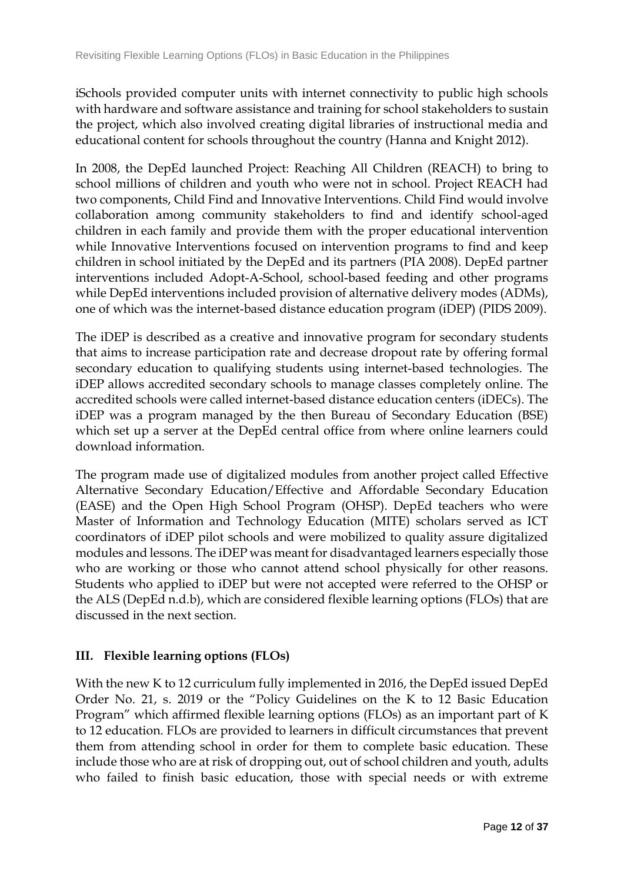iSchools provided computer units with internet connectivity to public high schools with hardware and software assistance and training for school stakeholders to sustain the project, which also involved creating digital libraries of instructional media and educational content for schools throughout the country (Hanna and Knight 2012).

In 2008, the DepEd launched Project: Reaching All Children (REACH) to bring to school millions of children and youth who were not in school. Project REACH had two components, Child Find and Innovative Interventions. Child Find would involve collaboration among community stakeholders to find and identify school-aged children in each family and provide them with the proper educational intervention while Innovative Interventions focused on intervention programs to find and keep children in school initiated by the DepEd and its partners (PIA 2008). DepEd partner interventions included Adopt-A-School, school-based feeding and other programs while DepEd interventions included provision of alternative delivery modes (ADMs), one of which was the internet-based distance education program (iDEP) (PIDS 2009).

The iDEP is described as a creative and innovative program for secondary students that aims to increase participation rate and decrease dropout rate by offering formal secondary education to qualifying students using internet-based technologies. The iDEP allows accredited secondary schools to manage classes completely online. The accredited schools were called internet-based distance education centers (iDECs). The iDEP was a program managed by the then Bureau of Secondary Education (BSE) which set up a server at the DepEd central office from where online learners could download information.

The program made use of digitalized modules from another project called Effective Alternative Secondary Education/Effective and Affordable Secondary Education (EASE) and the Open High School Program (OHSP). DepEd teachers who were Master of Information and Technology Education (MITE) scholars served as ICT coordinators of iDEP pilot schools and were mobilized to quality assure digitalized modules and lessons. The iDEP was meant for disadvantaged learners especially those who are working or those who cannot attend school physically for other reasons. Students who applied to iDEP but were not accepted were referred to the OHSP or the ALS (DepEd n.d.b), which are considered flexible learning options (FLOs) that are discussed in the next section.

# **III. Flexible learning options (FLOs)**

With the new K to 12 curriculum fully implemented in 2016, the DepEd issued DepEd Order No. 21, s. 2019 or the "Policy Guidelines on the K to 12 Basic Education Program" which affirmed flexible learning options (FLOs) as an important part of K to 12 education. FLOs are provided to learners in difficult circumstances that prevent them from attending school in order for them to complete basic education. These include those who are at risk of dropping out, out of school children and youth, adults who failed to finish basic education, those with special needs or with extreme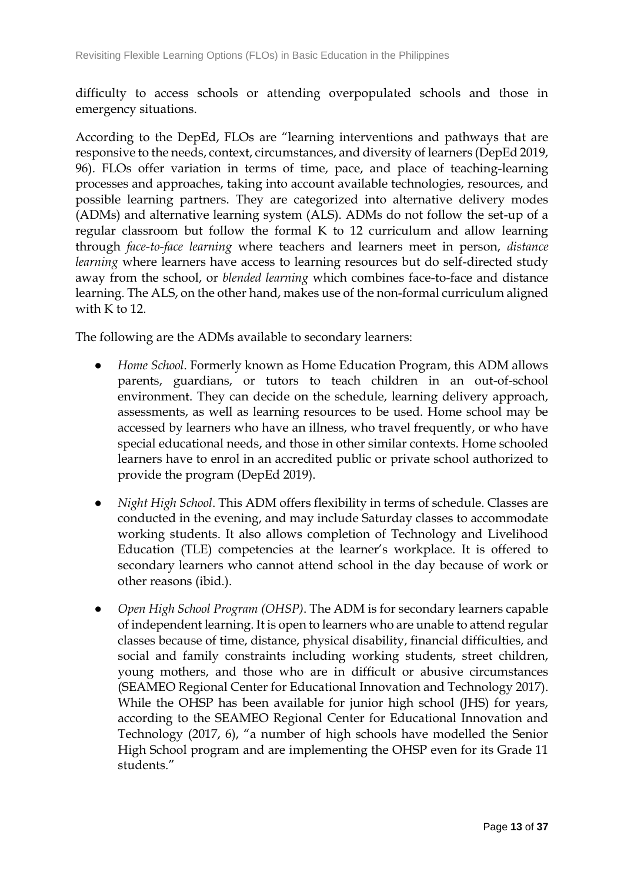difficulty to access schools or attending overpopulated schools and those in emergency situations.

According to the DepEd, FLOs are "learning interventions and pathways that are responsive to the needs, context, circumstances, and diversity of learners (DepEd 2019, 96). FLOs offer variation in terms of time, pace, and place of teaching-learning processes and approaches, taking into account available technologies, resources, and possible learning partners. They are categorized into alternative delivery modes (ADMs) and alternative learning system (ALS). ADMs do not follow the set-up of a regular classroom but follow the formal K to 12 curriculum and allow learning through *face-to-face learning* where teachers and learners meet in person, *distance learning* where learners have access to learning resources but do self-directed study away from the school, or *blended learning* which combines face-to-face and distance learning. The ALS, on the other hand, makes use of the non-formal curriculum aligned with K to 12.

The following are the ADMs available to secondary learners:

- *Home School*. Formerly known as Home Education Program, this ADM allows parents, guardians, or tutors to teach children in an out-of-school environment. They can decide on the schedule, learning delivery approach, assessments, as well as learning resources to be used. Home school may be accessed by learners who have an illness, who travel frequently, or who have special educational needs, and those in other similar contexts. Home schooled learners have to enrol in an accredited public or private school authorized to provide the program (DepEd 2019).
- *Night High School*. This ADM offers flexibility in terms of schedule. Classes are conducted in the evening, and may include Saturday classes to accommodate working students. It also allows completion of Technology and Livelihood Education (TLE) competencies at the learner's workplace. It is offered to secondary learners who cannot attend school in the day because of work or other reasons (ibid.).
- *Open High School Program (OHSP)*. The ADM is for secondary learners capable of independent learning. It is open to learners who are unable to attend regular classes because of time, distance, physical disability, financial difficulties, and social and family constraints including working students, street children, young mothers, and those who are in difficult or abusive circumstances (SEAMEO Regional Center for Educational Innovation and Technology 2017). While the OHSP has been available for junior high school (JHS) for years, according to the SEAMEO Regional Center for Educational Innovation and Technology (2017, 6), "a number of high schools have modelled the Senior High School program and are implementing the OHSP even for its Grade 11 students."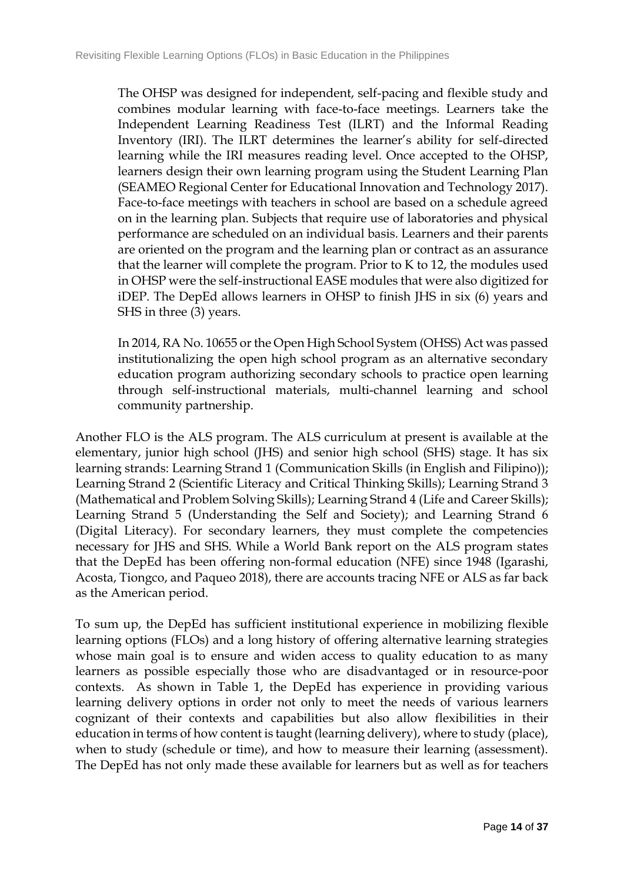The OHSP was designed for independent, self-pacing and flexible study and combines modular learning with face-to-face meetings. Learners take the Independent Learning Readiness Test (ILRT) and the Informal Reading Inventory (IRI). The ILRT determines the learner's ability for self-directed learning while the IRI measures reading level. Once accepted to the OHSP, learners design their own learning program using the Student Learning Plan (SEAMEO Regional Center for Educational Innovation and Technology 2017). Face-to-face meetings with teachers in school are based on a schedule agreed on in the learning plan. Subjects that require use of laboratories and physical performance are scheduled on an individual basis. Learners and their parents are oriented on the program and the learning plan or contract as an assurance that the learner will complete the program. Prior to K to 12, the modules used in OHSP were the self-instructional EASE modules that were also digitized for iDEP. The DepEd allows learners in OHSP to finish JHS in six (6) years and SHS in three (3) years.

In 2014, RA No. 10655 or the Open High School System (OHSS) Act was passed institutionalizing the open high school program as an alternative secondary education program authorizing secondary schools to practice open learning through self-instructional materials, multi-channel learning and school community partnership.

Another FLO is the ALS program. The ALS curriculum at present is available at the elementary, junior high school (JHS) and senior high school (SHS) stage. It has six learning strands: Learning Strand 1 (Communication Skills (in English and Filipino)); Learning Strand 2 (Scientific Literacy and Critical Thinking Skills); Learning Strand 3 (Mathematical and Problem Solving Skills); Learning Strand 4 (Life and Career Skills); Learning Strand 5 (Understanding the Self and Society); and Learning Strand 6 (Digital Literacy). For secondary learners, they must complete the competencies necessary for JHS and SHS. While a World Bank report on the ALS program states that the DepEd has been offering non-formal education (NFE) since 1948 (Igarashi, Acosta, Tiongco, and Paqueo 2018), there are accounts tracing NFE or ALS as far back as the American period.

To sum up, the DepEd has sufficient institutional experience in mobilizing flexible learning options (FLOs) and a long history of offering alternative learning strategies whose main goal is to ensure and widen access to quality education to as many learners as possible especially those who are disadvantaged or in resource-poor contexts. As shown in Table 1, the DepEd has experience in providing various learning delivery options in order not only to meet the needs of various learners cognizant of their contexts and capabilities but also allow flexibilities in their education in terms of how content is taught (learning delivery), where to study (place), when to study (schedule or time), and how to measure their learning (assessment). The DepEd has not only made these available for learners but as well as for teachers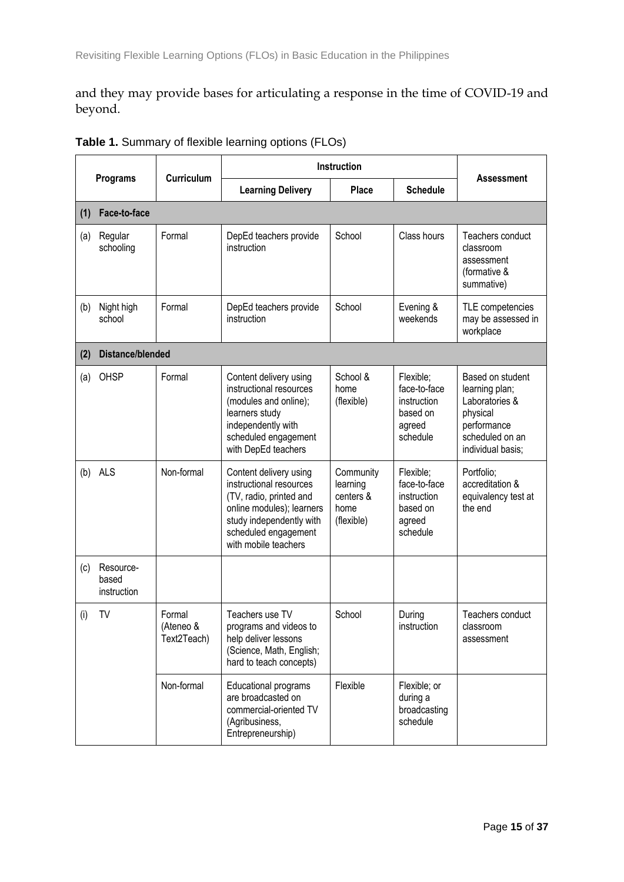and they may provide bases for articulating a response in the time of COVID-19 and beyond.

|     |                                   |                                    | Instruction                                                                                                                                                                           |                                                          |                                                                            |                                                                                                                         |  |
|-----|-----------------------------------|------------------------------------|---------------------------------------------------------------------------------------------------------------------------------------------------------------------------------------|----------------------------------------------------------|----------------------------------------------------------------------------|-------------------------------------------------------------------------------------------------------------------------|--|
|     | <b>Programs</b>                   | <b>Curriculum</b>                  | <b>Learning Delivery</b>                                                                                                                                                              | <b>Place</b>                                             | <b>Schedule</b>                                                            | <b>Assessment</b>                                                                                                       |  |
| (1) | Face-to-face                      |                                    |                                                                                                                                                                                       |                                                          |                                                                            |                                                                                                                         |  |
| (a) | Regular<br>schooling              | Formal                             | DepEd teachers provide<br>instruction                                                                                                                                                 | School                                                   | Class hours                                                                | Teachers conduct<br>classroom<br>assessment<br>(formative &<br>summative)                                               |  |
| (b) | Night high<br>school              | Formal                             | DepEd teachers provide<br>instruction                                                                                                                                                 | School                                                   | Evening &<br>weekends                                                      | TLE competencies<br>may be assessed in<br>workplace                                                                     |  |
| (2) | <b>Distance/blended</b>           |                                    |                                                                                                                                                                                       |                                                          |                                                                            |                                                                                                                         |  |
| (a) | OHSP                              | Formal                             | Content delivery using<br>instructional resources<br>(modules and online);<br>learners study<br>independently with<br>scheduled engagement<br>with DepEd teachers                     | School &<br>home<br>(flexible)                           | Flexible;<br>face-to-face<br>instruction<br>based on<br>agreed<br>schedule | Based on student<br>learning plan;<br>Laboratories &<br>physical<br>performance<br>scheduled on an<br>individual basis; |  |
| (b) | <b>ALS</b>                        | Non-formal                         | Content delivery using<br>instructional resources<br>(TV, radio, printed and<br>online modules); learners<br>study independently with<br>scheduled engagement<br>with mobile teachers | Community<br>learning<br>centers &<br>home<br>(flexible) | Flexible;<br>face-to-face<br>instruction<br>based on<br>agreed<br>schedule | Portfolio;<br>accreditation &<br>equivalency test at<br>the end                                                         |  |
| (c) | Resource-<br>based<br>instruction |                                    |                                                                                                                                                                                       |                                                          |                                                                            |                                                                                                                         |  |
| (i) | TV                                | Formal<br>(Ateneo &<br>Text2Teach) | Teachers use TV<br>programs and videos to<br>help deliver lessons<br>(Science, Math, English;<br>hard to teach concepts)                                                              | School                                                   | During<br>instruction                                                      | Teachers conduct<br>classroom<br>assessment                                                                             |  |
|     |                                   | Non-formal                         | Educational programs<br>are broadcasted on<br>commercial-oriented TV<br>(Agribusiness,<br>Entrepreneurship)                                                                           | Flexible                                                 | Flexible; or<br>during a<br>broadcasting<br>schedule                       |                                                                                                                         |  |

**Table 1.** Summary of flexible learning options (FLOs)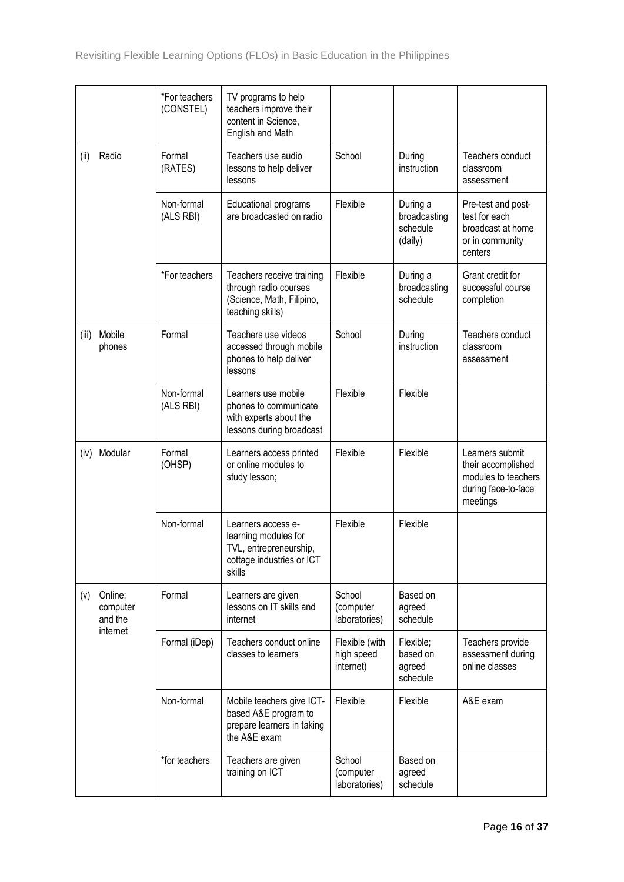|       |                                            | *For teachers<br>(CONSTEL) | TV programs to help<br>teachers improve their<br>content in Science,<br>English and Math                    |                                           |                                                 |                                                                                                 |
|-------|--------------------------------------------|----------------------------|-------------------------------------------------------------------------------------------------------------|-------------------------------------------|-------------------------------------------------|-------------------------------------------------------------------------------------------------|
| (ii)  | Radio                                      | Formal<br>(RATES)          | Teachers use audio<br>lessons to help deliver<br>lessons                                                    | School                                    | During<br>instruction                           | Teachers conduct<br>classroom<br>assessment                                                     |
|       |                                            | Non-formal<br>(ALS RBI)    | Educational programs<br>are broadcasted on radio                                                            | Flexible                                  | During a<br>broadcasting<br>schedule<br>(daily) | Pre-test and post-<br>test for each<br>broadcast at home<br>or in community<br>centers          |
|       |                                            | *For teachers              | Teachers receive training<br>through radio courses<br>(Science, Math, Filipino,<br>teaching skills)         | Flexible                                  | During a<br>broadcasting<br>schedule            | Grant credit for<br>successful course<br>completion                                             |
| (iii) | Mobile<br>phones                           | Formal                     | Teachers use videos<br>accessed through mobile<br>phones to help deliver<br>lessons                         | School                                    | During<br>instruction                           | Teachers conduct<br>classroom<br>assessment                                                     |
|       |                                            | Non-formal<br>(ALS RBI)    | Learners use mobile<br>phones to communicate<br>with experts about the<br>lessons during broadcast          | Flexible                                  | Flexible                                        |                                                                                                 |
| (iv)  | Modular                                    | Formal<br>(OHSP)           | Learners access printed<br>or online modules to<br>study lesson;                                            | Flexible                                  | Flexible                                        | Learners submit<br>their accomplished<br>modules to teachers<br>during face-to-face<br>meetings |
|       |                                            | Non-formal                 | Learners access e-<br>learning modules for<br>TVL, entrepreneurship,<br>cottage industries or ICT<br>skills | Flexible                                  | Flexible                                        |                                                                                                 |
| (v)   | Online:<br>computer<br>and the<br>internet | Formal                     | Learners are given<br>lessons on IT skills and<br>internet                                                  | School<br>(computer<br>laboratories)      | Based on<br>agreed<br>schedule                  |                                                                                                 |
|       |                                            | Formal (iDep)              | Teachers conduct online<br>classes to learners                                                              | Flexible (with<br>high speed<br>internet) | Flexible;<br>based on<br>agreed<br>schedule     | Teachers provide<br>assessment during<br>online classes                                         |
|       |                                            | Non-formal                 | Mobile teachers give ICT-<br>based A&E program to<br>prepare learners in taking<br>the A&E exam             | Flexible                                  | Flexible                                        | A&E exam                                                                                        |
|       |                                            | *for teachers              | Teachers are given<br>training on ICT                                                                       | School<br>(computer<br>laboratories)      | Based on<br>agreed<br>schedule                  |                                                                                                 |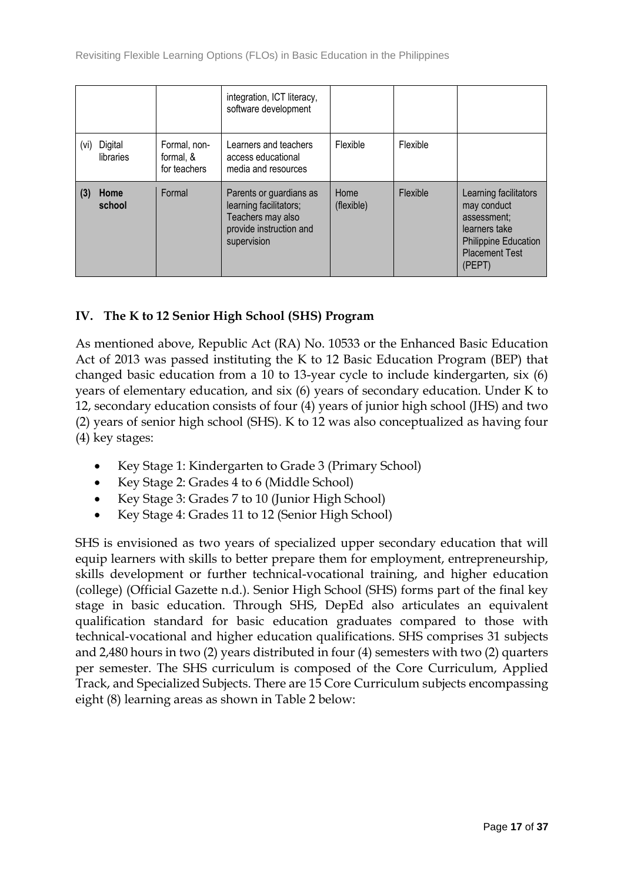|      |                      |                                           | integration, ICT literacy,<br>software development                                                               |                    |          |                                                                                                                                        |
|------|----------------------|-------------------------------------------|------------------------------------------------------------------------------------------------------------------|--------------------|----------|----------------------------------------------------------------------------------------------------------------------------------------|
| (vi) | Digital<br>libraries | Formal, non-<br>formal, &<br>for teachers | Learners and teachers<br>access educational<br>media and resources                                               | Flexible           | Flexible |                                                                                                                                        |
|      | Home<br>school       | Formal                                    | Parents or guardians as<br>learning facilitators;<br>Teachers may also<br>provide instruction and<br>supervision | Home<br>(flexible) | Flexible | Learning facilitators<br>may conduct<br>assessment:<br>learners take<br><b>Philippine Education</b><br><b>Placement Test</b><br>(PEPT) |

## **IV. The K to 12 Senior High School (SHS) Program**

As mentioned above, Republic Act (RA) No. 10533 or the Enhanced Basic Education Act of 2013 was passed instituting the K to 12 Basic Education Program (BEP) that changed basic education from a 10 to 13-year cycle to include kindergarten, six (6) years of elementary education, and six (6) years of secondary education. Under K to 12, secondary education consists of four (4) years of junior high school (JHS) and two (2) years of senior high school (SHS). K to 12 was also conceptualized as having four (4) key stages:

- Key Stage 1: Kindergarten to Grade 3 (Primary School)
- Key Stage 2: Grades 4 to 6 (Middle School)
- Key Stage 3: Grades 7 to 10 (Junior High School)
- Key Stage 4: Grades 11 to 12 (Senior High School)

SHS is envisioned as two years of specialized upper secondary education that will equip learners with skills to better prepare them for employment, entrepreneurship, skills development or further technical-vocational training, and higher education (college) (Official Gazette n.d.). Senior High School (SHS) forms part of the final key stage in basic education. Through SHS, DepEd also articulates an equivalent qualification standard for basic education graduates compared to those with technical-vocational and higher education qualifications. SHS comprises 31 subjects and 2,480 hours in two (2) years distributed in four (4) semesters with two (2) quarters per semester. The SHS curriculum is composed of the Core Curriculum, Applied Track, and Specialized Subjects. There are 15 Core Curriculum subjects encompassing eight (8) learning areas as shown in Table 2 below: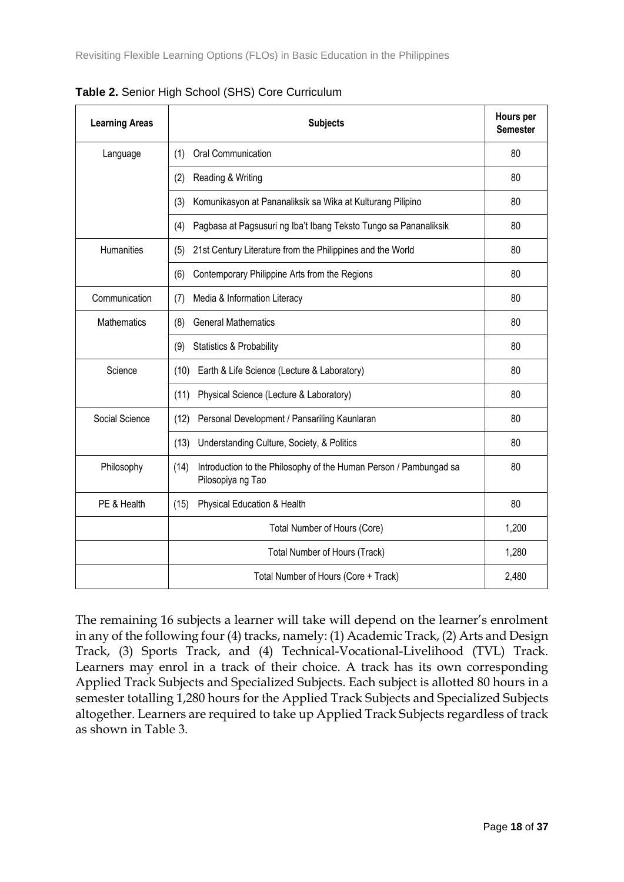| <b>Learning Areas</b> | <b>Subjects</b>                                                                                |       |  |
|-----------------------|------------------------------------------------------------------------------------------------|-------|--|
| Language              | Oral Communication<br>(1)                                                                      |       |  |
|                       | (2)<br>Reading & Writing                                                                       | 80    |  |
|                       | (3)<br>Komunikasyon at Pananaliksik sa Wika at Kulturang Pilipino                              | 80    |  |
|                       | Pagbasa at Pagsusuri ng Iba't Ibang Teksto Tungo sa Pananaliksik<br>(4)                        | 80    |  |
| <b>Humanities</b>     | 21st Century Literature from the Philippines and the World<br>(5)                              |       |  |
|                       | Contemporary Philippine Arts from the Regions<br>(6)                                           | 80    |  |
| Communication         | Media & Information Literacy<br>(7)                                                            | 80    |  |
| <b>Mathematics</b>    | <b>General Mathematics</b><br>(8)                                                              | 80    |  |
|                       | <b>Statistics &amp; Probability</b><br>(9)                                                     | 80    |  |
| Science               | Earth & Life Science (Lecture & Laboratory)<br>(10)                                            | 80    |  |
|                       | Physical Science (Lecture & Laboratory)<br>(11)                                                | 80    |  |
| Social Science        | Personal Development / Pansariling Kaunlaran<br>(12)                                           | 80    |  |
|                       | Understanding Culture, Society, & Politics<br>(13)                                             | 80    |  |
| Philosophy            | (14)<br>Introduction to the Philosophy of the Human Person / Pambungad sa<br>Pilosopiya ng Tao | 80    |  |
| PE & Health           | Physical Education & Health<br>(15)                                                            | 80    |  |
|                       | Total Number of Hours (Core)                                                                   | 1,200 |  |
|                       | Total Number of Hours (Track)                                                                  | 1,280 |  |
|                       | Total Number of Hours (Core + Track)                                                           | 2,480 |  |

**Table 2.** Senior High School (SHS) Core Curriculum

The remaining 16 subjects a learner will take will depend on the learner's enrolment in any of the following four (4) tracks, namely: (1) Academic Track, (2) Arts and Design Track, (3) Sports Track, and (4) Technical-Vocational-Livelihood (TVL) Track. Learners may enrol in a track of their choice. A track has its own corresponding Applied Track Subjects and Specialized Subjects. Each subject is allotted 80 hours in a semester totalling 1,280 hours for the Applied Track Subjects and Specialized Subjects altogether. Learners are required to take up Applied Track Subjects regardless of track as shown in Table 3.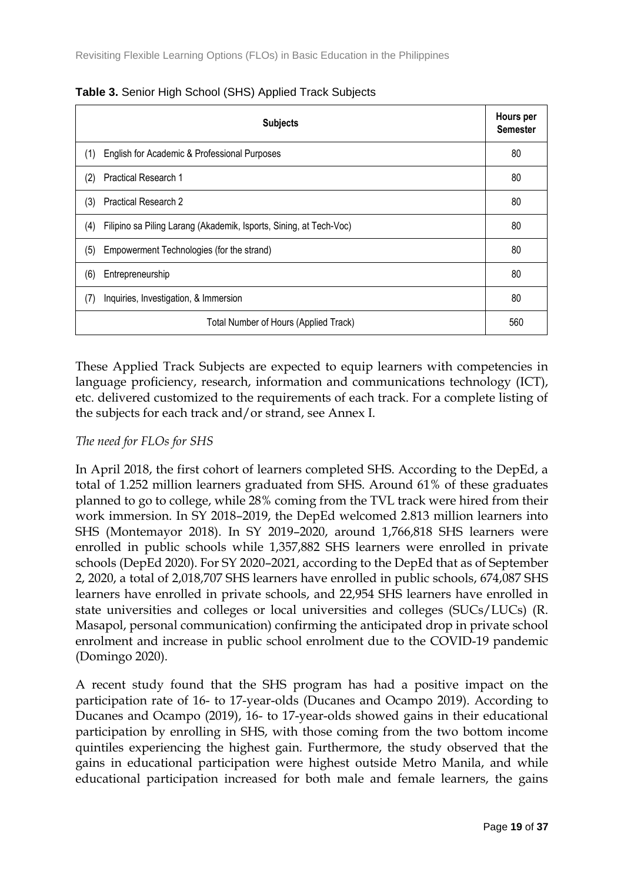| <b>Subjects</b>                                                           | Hours per<br><b>Semester</b> |
|---------------------------------------------------------------------------|------------------------------|
| English for Academic & Professional Purposes<br>(1)                       | 80                           |
| Practical Research 1<br>(2)                                               | 80                           |
| <b>Practical Research 2</b><br>(3)                                        | 80                           |
| (4)<br>Filipino sa Piling Larang (Akademik, Isports, Sining, at Tech-Voc) | 80                           |
| (5)<br>Empowerment Technologies (for the strand)                          | 80                           |
| (6)<br>Entrepreneurship                                                   | 80                           |
| (7)<br>Inquiries, Investigation, & Immersion                              | 80                           |
| Total Number of Hours (Applied Track)                                     | 560                          |

**Table 3.** Senior High School (SHS) Applied Track Subjects

These Applied Track Subjects are expected to equip learners with competencies in language proficiency, research, information and communications technology (ICT), etc. delivered customized to the requirements of each track. For a complete listing of the subjects for each track and/or strand, see Annex I.

## *The need for FLOs for SHS*

In April 2018, the first cohort of learners completed SHS. According to the DepEd, a total of 1.252 million learners graduated from SHS. Around 61% of these graduates planned to go to college, while 28% coming from the TVL track were hired from their work immersion. In SY 2018–2019, the DepEd welcomed 2.813 million learners into SHS (Montemayor 2018). In SY 2019–2020, around 1,766,818 SHS learners were enrolled in public schools while 1,357,882 SHS learners were enrolled in private schools (DepEd 2020). For SY 2020–2021, according to the DepEd that as of September 2, 2020, a total of 2,018,707 SHS learners have enrolled in public schools, 674,087 SHS learners have enrolled in private schools, and 22,954 SHS learners have enrolled in state universities and colleges or local universities and colleges (SUCs/LUCs) (R. Masapol, personal communication) confirming the anticipated drop in private school enrolment and increase in public school enrolment due to the COVID-19 pandemic (Domingo 2020).

A recent study found that the SHS program has had a positive impact on the participation rate of 16- to 17-year-olds (Ducanes and Ocampo 2019). According to Ducanes and Ocampo (2019), 16- to 17-year-olds showed gains in their educational participation by enrolling in SHS, with those coming from the two bottom income quintiles experiencing the highest gain. Furthermore, the study observed that the gains in educational participation were highest outside Metro Manila, and while educational participation increased for both male and female learners, the gains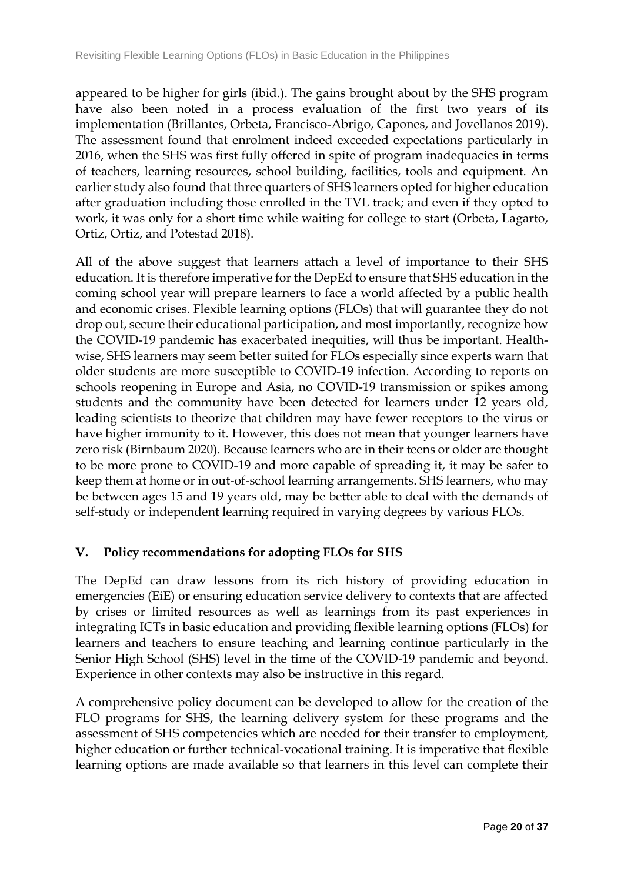appeared to be higher for girls (ibid.). The gains brought about by the SHS program have also been noted in a process evaluation of the first two years of its implementation (Brillantes, Orbeta, Francisco-Abrigo, Capones, and Jovellanos 2019). The assessment found that enrolment indeed exceeded expectations particularly in 2016, when the SHS was first fully offered in spite of program inadequacies in terms of teachers, learning resources, school building, facilities, tools and equipment. An earlier study also found that three quarters of SHS learners opted for higher education after graduation including those enrolled in the TVL track; and even if they opted to work, it was only for a short time while waiting for college to start (Orbeta, Lagarto, Ortiz, Ortiz, and Potestad 2018).

All of the above suggest that learners attach a level of importance to their SHS education. It is therefore imperative for the DepEd to ensure that SHS education in the coming school year will prepare learners to face a world affected by a public health and economic crises. Flexible learning options (FLOs) that will guarantee they do not drop out, secure their educational participation, and most importantly, recognize how the COVID-19 pandemic has exacerbated inequities, will thus be important. Healthwise, SHS learners may seem better suited for FLOs especially since experts warn that older students are more susceptible to COVID-19 infection. According to reports on schools reopening in Europe and Asia, no COVID-19 transmission or spikes among students and the community have been detected for learners under 12 years old, leading scientists to theorize that children may have fewer receptors to the virus or have higher immunity to it. However, this does not mean that younger learners have zero risk (Birnbaum 2020). Because learners who are in their teens or older are thought to be more prone to COVID-19 and more capable of spreading it, it may be safer to keep them at home or in out-of-school learning arrangements. SHS learners, who may be between ages 15 and 19 years old, may be better able to deal with the demands of self-study or independent learning required in varying degrees by various FLOs.

# **V. Policy recommendations for adopting FLOs for SHS**

The DepEd can draw lessons from its rich history of providing education in emergencies (EiE) or ensuring education service delivery to contexts that are affected by crises or limited resources as well as learnings from its past experiences in integrating ICTs in basic education and providing flexible learning options (FLOs) for learners and teachers to ensure teaching and learning continue particularly in the Senior High School (SHS) level in the time of the COVID-19 pandemic and beyond. Experience in other contexts may also be instructive in this regard.

A comprehensive policy document can be developed to allow for the creation of the FLO programs for SHS, the learning delivery system for these programs and the assessment of SHS competencies which are needed for their transfer to employment, higher education or further technical-vocational training. It is imperative that flexible learning options are made available so that learners in this level can complete their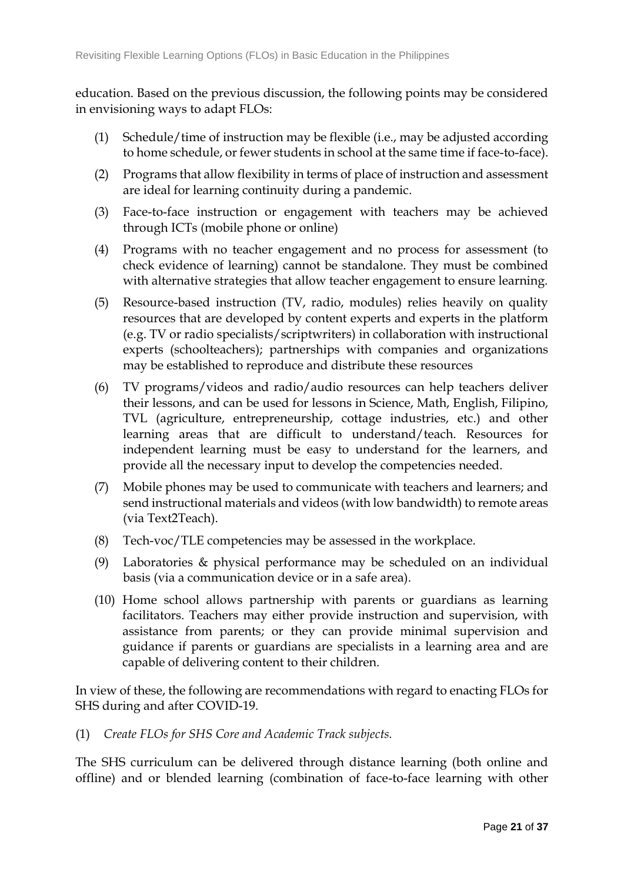education. Based on the previous discussion, the following points may be considered in envisioning ways to adapt FLOs:

- (1) Schedule/time of instruction may be flexible (i.e., may be adjusted according to home schedule, or fewer students in school at the same time if face-to-face).
- (2) Programs that allow flexibility in terms of place of instruction and assessment are ideal for learning continuity during a pandemic.
- (3) Face-to-face instruction or engagement with teachers may be achieved through ICTs (mobile phone or online)
- (4) Programs with no teacher engagement and no process for assessment (to check evidence of learning) cannot be standalone. They must be combined with alternative strategies that allow teacher engagement to ensure learning.
- (5) Resource-based instruction (TV, radio, modules) relies heavily on quality resources that are developed by content experts and experts in the platform (e.g. TV or radio specialists/scriptwriters) in collaboration with instructional experts (schoolteachers); partnerships with companies and organizations may be established to reproduce and distribute these resources
- (6) TV programs/videos and radio/audio resources can help teachers deliver their lessons, and can be used for lessons in Science, Math, English, Filipino, TVL (agriculture, entrepreneurship, cottage industries, etc.) and other learning areas that are difficult to understand/teach. Resources for independent learning must be easy to understand for the learners, and provide all the necessary input to develop the competencies needed.
- (7) Mobile phones may be used to communicate with teachers and learners; and send instructional materials and videos (with low bandwidth) to remote areas (via Text2Teach).
- (8) Tech-voc/TLE competencies may be assessed in the workplace.
- (9) Laboratories & physical performance may be scheduled on an individual basis (via a communication device or in a safe area).
- (10) Home school allows partnership with parents or guardians as learning facilitators. Teachers may either provide instruction and supervision, with assistance from parents; or they can provide minimal supervision and guidance if parents or guardians are specialists in a learning area and are capable of delivering content to their children.

In view of these, the following are recommendations with regard to enacting FLOs for SHS during and after COVID-19.

(1) *Create FLOs for SHS Core and Academic Track subjects.*

The SHS curriculum can be delivered through distance learning (both online and offline) and or blended learning (combination of face-to-face learning with other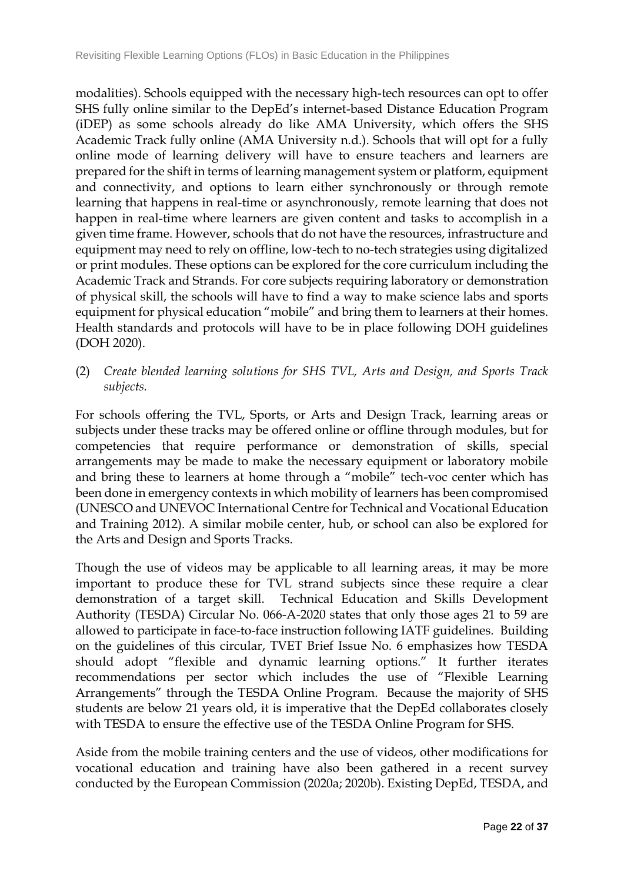modalities). Schools equipped with the necessary high-tech resources can opt to offer SHS fully online similar to the DepEd's internet-based Distance Education Program (iDEP) as some schools already do like AMA University, which offers the SHS Academic Track fully online (AMA University n.d.). Schools that will opt for a fully online mode of learning delivery will have to ensure teachers and learners are prepared for the shift in terms of learning management system or platform, equipment and connectivity, and options to learn either synchronously or through remote learning that happens in real-time or asynchronously, remote learning that does not happen in real-time where learners are given content and tasks to accomplish in a given time frame. However, schools that do not have the resources, infrastructure and equipment may need to rely on offline, low-tech to no-tech strategies using digitalized or print modules. These options can be explored for the core curriculum including the Academic Track and Strands. For core subjects requiring laboratory or demonstration of physical skill, the schools will have to find a way to make science labs and sports equipment for physical education "mobile" and bring them to learners at their homes. Health standards and protocols will have to be in place following DOH guidelines (DOH 2020).

(2) *Create blended learning solutions for SHS TVL, Arts and Design, and Sports Track subjects.*

For schools offering the TVL, Sports, or Arts and Design Track, learning areas or subjects under these tracks may be offered online or offline through modules, but for competencies that require performance or demonstration of skills, special arrangements may be made to make the necessary equipment or laboratory mobile and bring these to learners at home through a "mobile" tech-voc center which has been done in emergency contexts in which mobility of learners has been compromised (UNESCO and UNEVOC International Centre for Technical and Vocational Education and Training 2012). A similar mobile center, hub, or school can also be explored for the Arts and Design and Sports Tracks.

Though the use of videos may be applicable to all learning areas, it may be more important to produce these for TVL strand subjects since these require a clear demonstration of a target skill. Technical Education and Skills Development Authority (TESDA) Circular No. 066-A-2020 states that only those ages 21 to 59 are allowed to participate in face-to-face instruction following IATF guidelines. Building on the guidelines of this circular, TVET Brief Issue No. 6 emphasizes how TESDA should adopt "flexible and dynamic learning options." It further iterates recommendations per sector which includes the use of "Flexible Learning Arrangements" through the TESDA Online Program. Because the majority of SHS students are below 21 years old, it is imperative that the DepEd collaborates closely with TESDA to ensure the effective use of the TESDA Online Program for SHS.

Aside from the mobile training centers and the use of videos, other modifications for vocational education and training have also been gathered in a recent survey conducted by the European Commission (2020a; 2020b). Existing DepEd, TESDA, and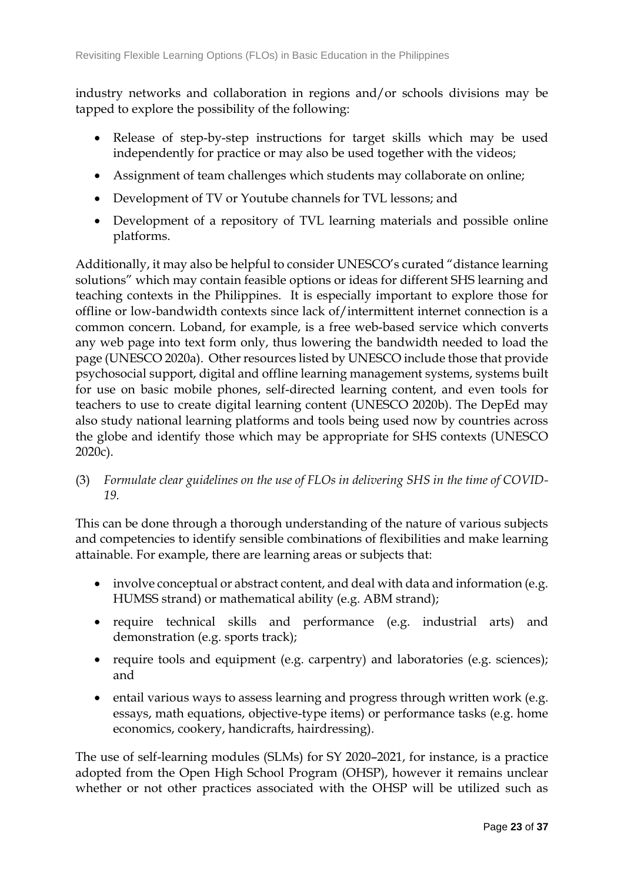industry networks and collaboration in regions and/or schools divisions may be tapped to explore the possibility of the following:

- Release of step-by-step instructions for target skills which may be used independently for practice or may also be used together with the videos;
- Assignment of team challenges which students may collaborate on online;
- Development of TV or Youtube channels for TVL lessons; and
- Development of a repository of TVL learning materials and possible online platforms.

Additionally, it may also be helpful to consider UNESCO's curated "distance learning solutions" which may contain feasible options or ideas for different SHS learning and teaching contexts in the Philippines. It is especially important to explore those for offline or low-bandwidth contexts since lack of/intermittent internet connection is a common concern. Loband, for example, is a free web-based service which converts any web page into text form only, thus lowering the bandwidth needed to load the page (UNESCO 2020a). Other resources listed by UNESCO include those that provide psychosocial support, digital and offline learning management systems, systems built for use on basic mobile phones, self-directed learning content, and even tools for teachers to use to create digital learning content (UNESCO 2020b). The DepEd may also study national learning platforms and tools being used now by countries across the globe and identify those which may be appropriate for SHS contexts (UNESCO 2020c).

(3) *Formulate clear guidelines on the use of FLOs in delivering SHS in the time of COVID-19.*

This can be done through a thorough understanding of the nature of various subjects and competencies to identify sensible combinations of flexibilities and make learning attainable. For example, there are learning areas or subjects that:

- involve conceptual or abstract content, and deal with data and information (e.g. HUMSS strand) or mathematical ability (e.g. ABM strand);
- require technical skills and performance (e.g. industrial arts) and demonstration (e.g. sports track);
- require tools and equipment (e.g. carpentry) and laboratories (e.g. sciences); and
- entail various ways to assess learning and progress through written work (e.g. essays, math equations, objective-type items) or performance tasks (e.g. home economics, cookery, handicrafts, hairdressing).

The use of self-learning modules (SLMs) for SY 2020–2021, for instance, is a practice adopted from the Open High School Program (OHSP), however it remains unclear whether or not other practices associated with the OHSP will be utilized such as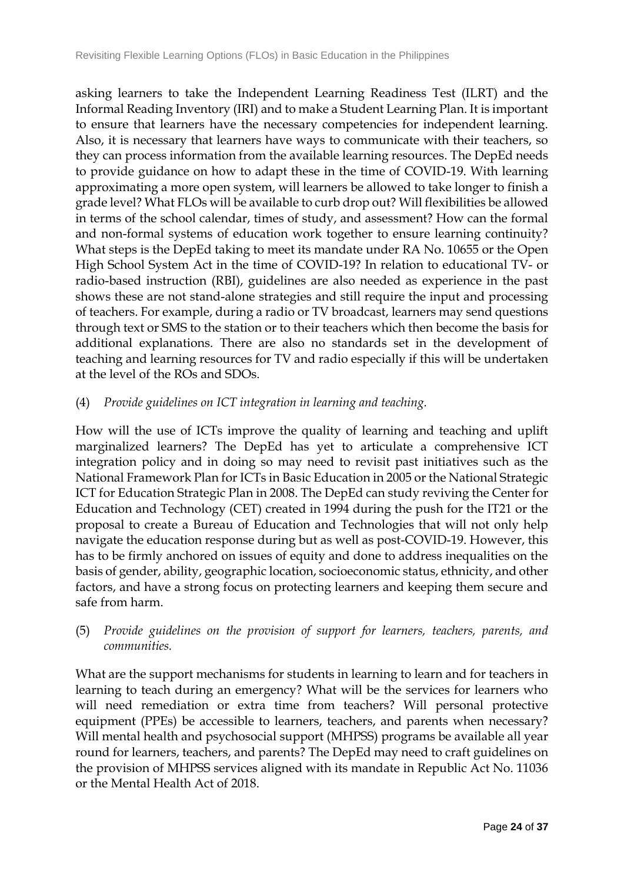asking learners to take the Independent Learning Readiness Test (ILRT) and the Informal Reading Inventory (IRI) and to make a Student Learning Plan. It is important to ensure that learners have the necessary competencies for independent learning. Also, it is necessary that learners have ways to communicate with their teachers, so they can process information from the available learning resources. The DepEd needs to provide guidance on how to adapt these in the time of COVID-19. With learning approximating a more open system, will learners be allowed to take longer to finish a grade level? What FLOs will be available to curb drop out? Will flexibilities be allowed in terms of the school calendar, times of study, and assessment? How can the formal and non-formal systems of education work together to ensure learning continuity? What steps is the DepEd taking to meet its mandate under RA No. 10655 or the Open High School System Act in the time of COVID-19? In relation to educational TV- or radio-based instruction (RBI), guidelines are also needed as experience in the past shows these are not stand-alone strategies and still require the input and processing of teachers. For example, during a radio or TV broadcast, learners may send questions through text or SMS to the station or to their teachers which then become the basis for additional explanations. There are also no standards set in the development of teaching and learning resources for TV and radio especially if this will be undertaken at the level of the ROs and SDOs.

#### (4) *Provide guidelines on ICT integration in learning and teaching.*

How will the use of ICTs improve the quality of learning and teaching and uplift marginalized learners? The DepEd has yet to articulate a comprehensive ICT integration policy and in doing so may need to revisit past initiatives such as the National Framework Plan for ICTs in Basic Education in 2005 or the National Strategic ICT for Education Strategic Plan in 2008. The DepEd can study reviving the Center for Education and Technology (CET) created in 1994 during the push for the IT21 or the proposal to create a Bureau of Education and Technologies that will not only help navigate the education response during but as well as post-COVID-19. However, this has to be firmly anchored on issues of equity and done to address inequalities on the basis of gender, ability, geographic location, socioeconomic status, ethnicity, and other factors, and have a strong focus on protecting learners and keeping them secure and safe from harm.

(5) *Provide guidelines on the provision of support for learners, teachers, parents, and communities.*

What are the support mechanisms for students in learning to learn and for teachers in learning to teach during an emergency? What will be the services for learners who will need remediation or extra time from teachers? Will personal protective equipment (PPEs) be accessible to learners, teachers, and parents when necessary? Will mental health and psychosocial support (MHPSS) programs be available all year round for learners, teachers, and parents? The DepEd may need to craft guidelines on the provision of MHPSS services aligned with its mandate in Republic Act No. 11036 or the Mental Health Act of 2018.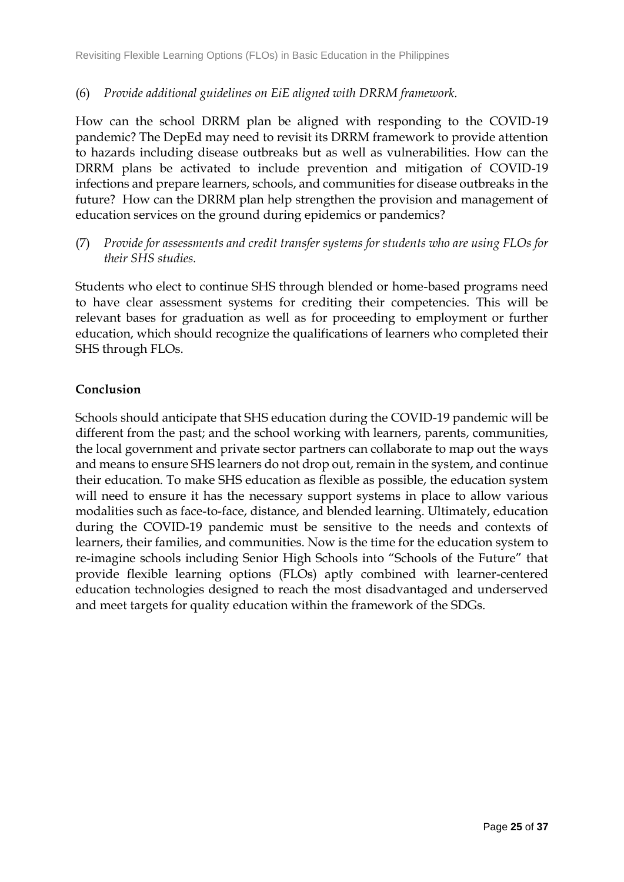### (6) *Provide additional guidelines on EiE aligned with DRRM framework.*

How can the school DRRM plan be aligned with responding to the COVID-19 pandemic? The DepEd may need to revisit its DRRM framework to provide attention to hazards including disease outbreaks but as well as vulnerabilities. How can the DRRM plans be activated to include prevention and mitigation of COVID-19 infections and prepare learners, schools, and communities for disease outbreaks in the future? How can the DRRM plan help strengthen the provision and management of education services on the ground during epidemics or pandemics?

(7) *Provide for assessments and credit transfer systems for students who are using FLOs for their SHS studies.*

Students who elect to continue SHS through blended or home-based programs need to have clear assessment systems for crediting their competencies. This will be relevant bases for graduation as well as for proceeding to employment or further education, which should recognize the qualifications of learners who completed their SHS through FLOs.

### **Conclusion**

Schools should anticipate that SHS education during the COVID-19 pandemic will be different from the past; and the school working with learners, parents, communities, the local government and private sector partners can collaborate to map out the ways and means to ensure SHS learners do not drop out, remain in the system, and continue their education. To make SHS education as flexible as possible, the education system will need to ensure it has the necessary support systems in place to allow various modalities such as face-to-face, distance, and blended learning. Ultimately, education during the COVID-19 pandemic must be sensitive to the needs and contexts of learners, their families, and communities. Now is the time for the education system to re-imagine schools including Senior High Schools into "Schools of the Future" that provide flexible learning options (FLOs) aptly combined with learner-centered education technologies designed to reach the most disadvantaged and underserved and meet targets for quality education within the framework of the SDGs.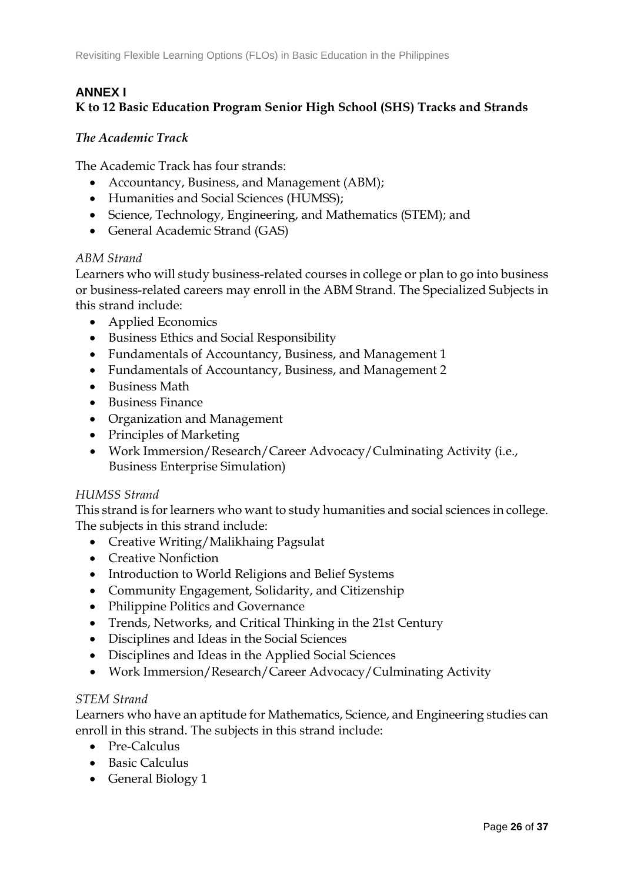# **ANNEX I**

# **K to 12 Basic Education Program Senior High School (SHS) Tracks and Strands**

### *The Academic Track*

The Academic Track has four strands:

- Accountancy, Business, and Management (ABM);
- Humanities and Social Sciences (HUMSS);
- Science, Technology, Engineering, and Mathematics (STEM); and
- General Academic Strand (GAS)

### *ABM Strand*

Learners who will study business-related courses in college or plan to go into business or business-related careers may enroll in the ABM Strand. The Specialized Subjects in this strand include:

- Applied Economics
- Business Ethics and Social Responsibility
- Fundamentals of Accountancy, Business, and Management 1
- Fundamentals of Accountancy, Business, and Management 2
- Business Math
- Business Finance
- Organization and Management
- Principles of Marketing
- Work Immersion/Research/Career Advocacy/Culminating Activity (i.e., Business Enterprise Simulation)

### *HUMSS Strand*

This strand is for learners who want to study humanities and social sciences in college. The subjects in this strand include:

- Creative Writing/Malikhaing Pagsulat
- Creative Nonfiction
- Introduction to World Religions and Belief Systems
- Community Engagement, Solidarity, and Citizenship
- Philippine Politics and Governance
- Trends, Networks, and Critical Thinking in the 21st Century
- Disciplines and Ideas in the Social Sciences
- Disciplines and Ideas in the Applied Social Sciences
- Work Immersion/Research/Career Advocacy/Culminating Activity

### *STEM Strand*

Learners who have an aptitude for Mathematics, Science, and Engineering studies can enroll in this strand. The subjects in this strand include:

- Pre-Calculus
- Basic Calculus
- General Biology 1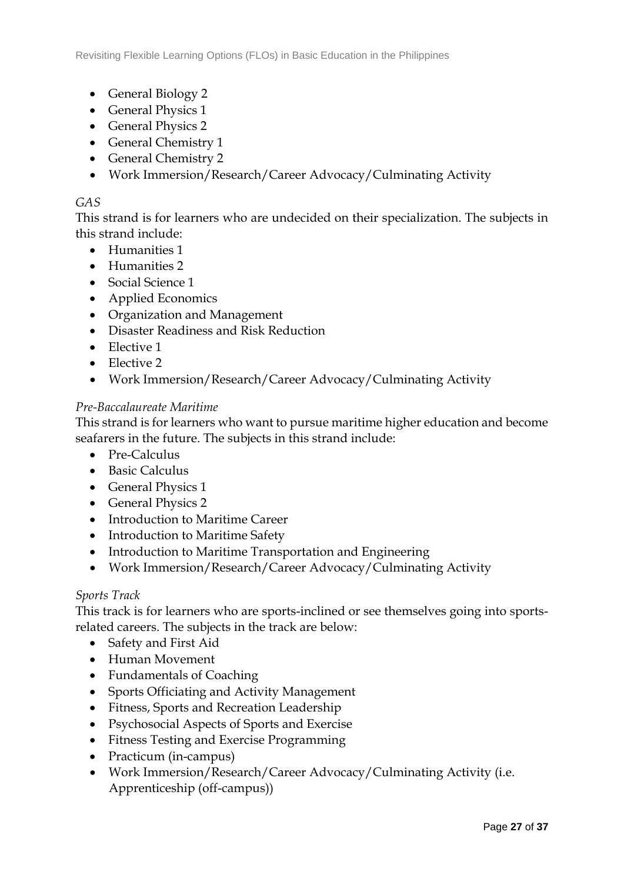- General Biology 2
- General Physics 1
- General Physics 2
- General Chemistry 1
- General Chemistry 2
- Work Immersion/Research/Career Advocacy/Culminating Activity

## *GAS*

This strand is for learners who are undecided on their specialization. The subjects in this strand include:

- Humanities 1
- Humanities 2
- Social Science 1
- Applied Economics
- Organization and Management
- Disaster Readiness and Risk Reduction
- Elective 1
- Elective 2
- Work Immersion/Research/Career Advocacy/Culminating Activity

### *Pre-Baccalaureate Maritime*

This strand is for learners who want to pursue maritime higher education and become seafarers in the future. The subjects in this strand include:

- Pre-Calculus
- Basic Calculus
- General Physics 1
- General Physics 2
- Introduction to Maritime Career
- Introduction to Maritime Safety
- Introduction to Maritime Transportation and Engineering
- Work Immersion/Research/Career Advocacy/Culminating Activity

### *Sports Track*

This track is for learners who are sports-inclined or see themselves going into sportsrelated careers. The subjects in the track are below:

- Safety and First Aid
- Human Movement
- Fundamentals of Coaching
- Sports Officiating and Activity Management
- Fitness, Sports and Recreation Leadership
- Psychosocial Aspects of Sports and Exercise
- Fitness Testing and Exercise Programming
- Practicum (in-campus)
- Work Immersion/Research/Career Advocacy/Culminating Activity (i.e. Apprenticeship (off-campus))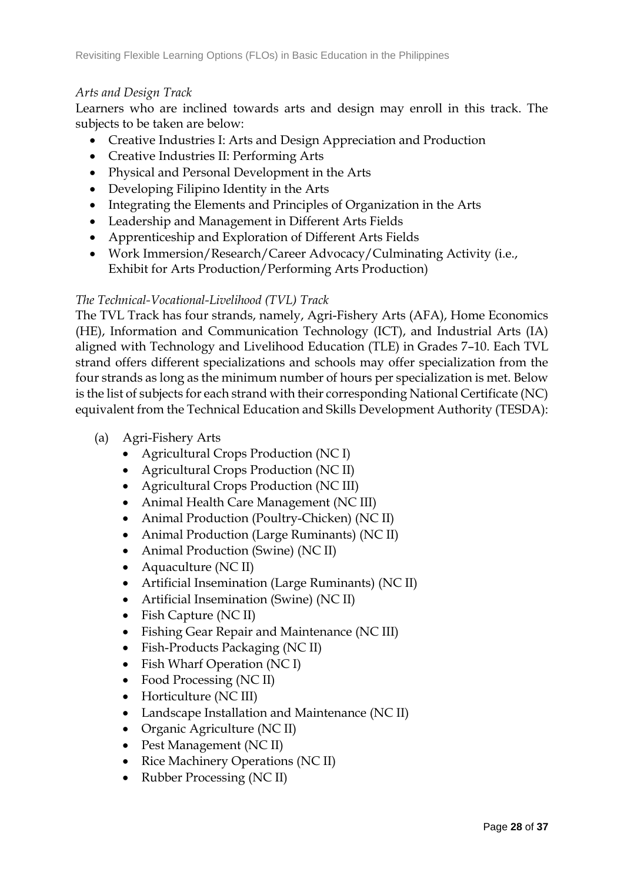### *Arts and Design Track*

Learners who are inclined towards arts and design may enroll in this track. The subjects to be taken are below:

- Creative Industries I: Arts and Design Appreciation and Production
- Creative Industries II: Performing Arts
- Physical and Personal Development in the Arts
- Developing Filipino Identity in the Arts
- Integrating the Elements and Principles of Organization in the Arts
- Leadership and Management in Different Arts Fields
- Apprenticeship and Exploration of Different Arts Fields
- Work Immersion/Research/Career Advocacy/Culminating Activity (i.e., Exhibit for Arts Production/Performing Arts Production)

### *The Technical-Vocational-Livelihood (TVL) Track*

The TVL Track has four strands, namely, Agri-Fishery Arts (AFA), Home Economics (HE), Information and Communication Technology (ICT), and Industrial Arts (IA) aligned with Technology and Livelihood Education (TLE) in Grades 7–10. Each TVL strand offers different specializations and schools may offer specialization from the four strands as long as the minimum number of hours per specialization is met. Below is the list of subjects for each strand with their corresponding National Certificate (NC) equivalent from the Technical Education and Skills Development Authority (TESDA):

- (a) Agri-Fishery Arts
	- Agricultural Crops Production (NC I)
	- Agricultural Crops Production (NC II)
	- Agricultural Crops Production (NC III)
	- Animal Health Care Management (NC III)
	- Animal Production (Poultry-Chicken) (NC II)
	- Animal Production (Large Ruminants) (NC II)
	- Animal Production (Swine) (NC II)
	- Aquaculture (NC II)
	- Artificial Insemination (Large Ruminants) (NC II)
	- Artificial Insemination (Swine) (NC II)
	- Fish Capture (NC II)
	- Fishing Gear Repair and Maintenance (NC III)
	- Fish-Products Packaging (NC II)
	- Fish Wharf Operation (NC I)
	- Food Processing (NC II)
	- Horticulture (NC III)
	- Landscape Installation and Maintenance (NC II)
	- Organic Agriculture (NC II)
	- Pest Management (NC II)
	- Rice Machinery Operations (NC II)
	- Rubber Processing (NC II)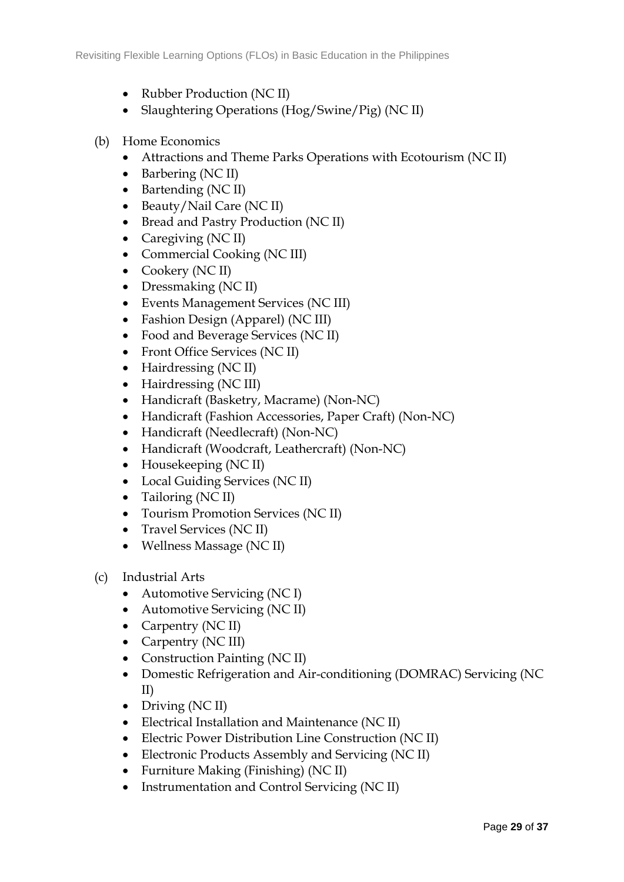- Rubber Production (NC II)
- Slaughtering Operations (Hog/Swine/Pig) (NC II)

### (b) Home Economics

- Attractions and Theme Parks Operations with Ecotourism (NC II)
- Barbering (NC II)
- Bartending (NC II)
- Beauty/Nail Care (NC II)
- Bread and Pastry Production (NC II)
- Caregiving (NC II)
- Commercial Cooking (NC III)
- Cookery (NC II)
- Dressmaking (NC II)
- Events Management Services (NC III)
- Fashion Design (Apparel) (NC III)
- Food and Beverage Services (NC II)
- Front Office Services (NC II)
- Hairdressing (NC II)
- Hairdressing (NC III)
- Handicraft (Basketry, Macrame) (Non-NC)
- Handicraft (Fashion Accessories, Paper Craft) (Non-NC)
- Handicraft (Needlecraft) (Non-NC)
- Handicraft (Woodcraft, Leathercraft) (Non-NC)
- Housekeeping (NC II)
- Local Guiding Services (NC II)
- Tailoring (NC II)
- Tourism Promotion Services (NC II)
- Travel Services (NC II)
- Wellness Massage (NC II)
- (c) Industrial Arts
	- Automotive Servicing (NC I)
	- Automotive Servicing (NC II)
	- Carpentry (NC II)
	- Carpentry (NC III)
	- Construction Painting (NC II)
	- Domestic Refrigeration and Air-conditioning (DOMRAC) Servicing (NC II)
	- Driving (NC II)
	- Electrical Installation and Maintenance (NC II)
	- Electric Power Distribution Line Construction (NC II)
	- Electronic Products Assembly and Servicing (NC II)
	- Furniture Making (Finishing) (NC II)
	- Instrumentation and Control Servicing (NC II)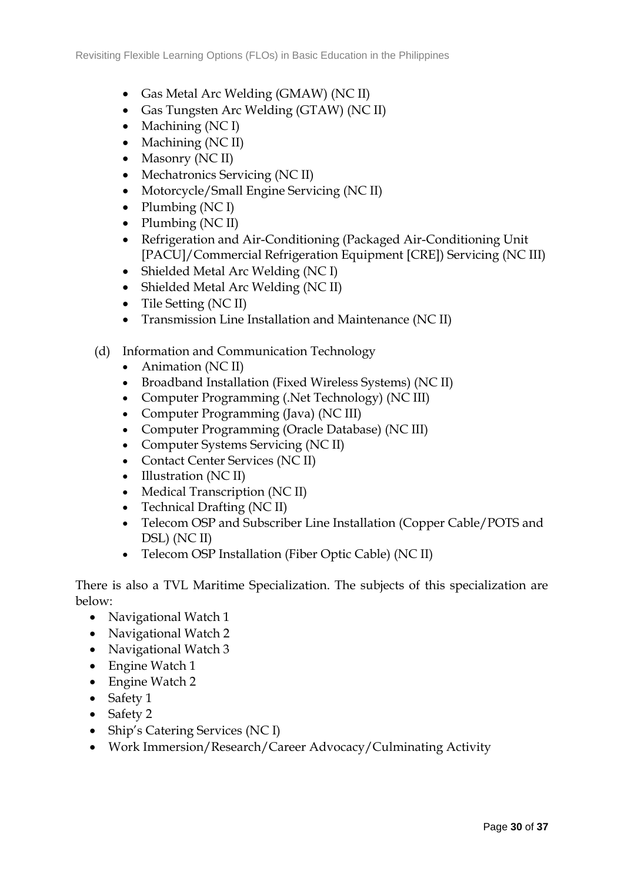- Gas Metal Arc Welding (GMAW) (NC II)
- Gas Tungsten Arc Welding (GTAW) (NC II)
- $\bullet$  Machining (NC I)
- Machining (NC II)
- Masonry (NC II)
- Mechatronics Servicing (NC II)
- Motorcycle/Small Engine Servicing (NC II)
- Plumbing  $(NC I)$
- Plumbing (NC II)
- Refrigeration and Air-Conditioning (Packaged Air-Conditioning Unit [PACU]/Commercial Refrigeration Equipment [CRE]) Servicing (NC III)
- Shielded Metal Arc Welding (NC I)
- Shielded Metal Arc Welding (NC II)
- Tile Setting (NC II)
- Transmission Line Installation and Maintenance (NC II)
- (d) Information and Communication Technology
	- Animation (NC II)
	- Broadband Installation (Fixed Wireless Systems) (NC II)
	- Computer Programming (.Net Technology) (NC III)
	- Computer Programming (Java) (NC III)
	- Computer Programming (Oracle Database) (NC III)
	- Computer Systems Servicing (NC II)
	- Contact Center Services (NC II)
	- Illustration (NC II)
	- Medical Transcription (NC II)
	- Technical Drafting (NC II)
	- Telecom OSP and Subscriber Line Installation (Copper Cable/POTS and DSL) (NC II)
	- Telecom OSP Installation (Fiber Optic Cable) (NC II)

There is also a TVL Maritime Specialization. The subjects of this specialization are below:

- Navigational Watch 1
- Navigational Watch 2
- Navigational Watch 3
- Engine Watch 1
- Engine Watch 2
- Safety 1
- Safety 2
- Ship's Catering Services (NC I)
- Work Immersion/Research/Career Advocacy/Culminating Activity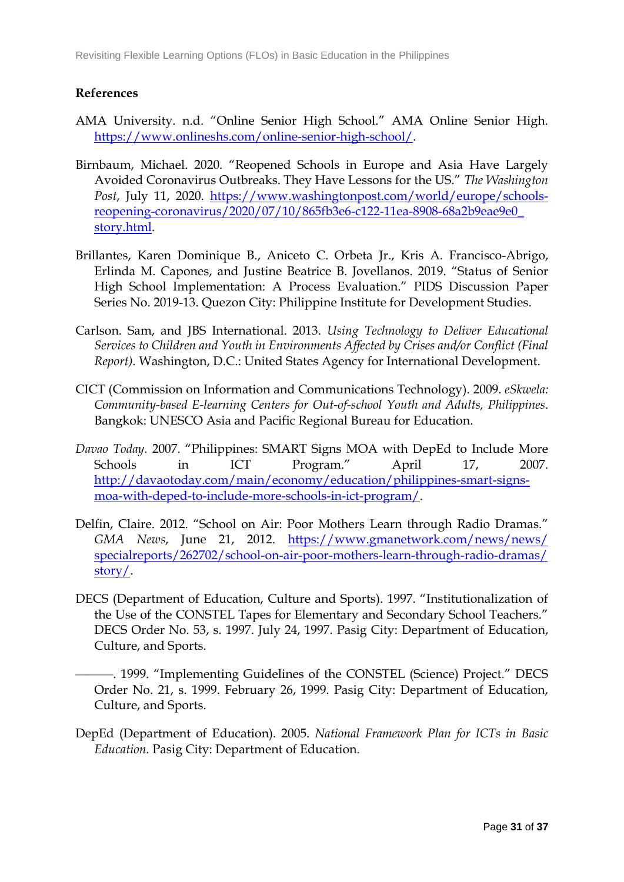## **References**

- AMA University. n.d. "Online Senior High School." AMA Online Senior High. [https://www.onlineshs.com/online-senior-high-school/.](https://www.onlineshs.com/online-senior-high-school/)
- Birnbaum, Michael. 2020. "Reopened Schools in Europe and Asia Have Largely Avoided Coronavirus Outbreaks. They Have Lessons for the US." *The Washington Post*, July 11, 2020. [https://www.washingtonpost.com/world/europe/schools](https://www.washingtonpost.com/world/europe/schools-reopening-coronavirus/2020/07/10/865fb3e6-c122-11ea-8908-68a2b9eae9e0_story.html)[reopening-coronavirus/2020/07/10/865fb3e6-c122-11ea-8908-68a2b9eae9e0\\_](https://www.washingtonpost.com/world/europe/schools-reopening-coronavirus/2020/07/10/865fb3e6-c122-11ea-8908-68a2b9eae9e0_story.html) [story.html.](https://www.washingtonpost.com/world/europe/schools-reopening-coronavirus/2020/07/10/865fb3e6-c122-11ea-8908-68a2b9eae9e0_story.html)
- Brillantes, Karen Dominique B., Aniceto C. Orbeta Jr., Kris A. Francisco-Abrigo, Erlinda M. Capones, and Justine Beatrice B. Jovellanos. 2019. "Status of Senior High School Implementation: A Process Evaluation." PIDS Discussion Paper Series No. 2019-13. Quezon City: Philippine Institute for Development Studies.
- Carlson. Sam, and JBS International. 2013. *Using Technology to Deliver Educational Services to Children and Youth in Environments Affected by Crises and/or Conflict (Final Report).* Washington, D.C.: United States Agency for International Development.
- CICT (Commission on Information and Communications Technology). 2009. *eSkwela: Community-based E-learning Centers for Out-of-school Youth and Adults, Philippines*. Bangkok: UNESCO Asia and Pacific Regional Bureau for Education.
- *Davao Today*. 2007. "Philippines: SMART Signs MOA with DepEd to Include More Schools in ICT Program." April 17, 2007. [http://davaotoday.com/main/economy/education/philippines-smart-signs](http://davaotoday.com/main/economy/education/philippines-smart-signs-moa-with-deped-to-include-more-schools-in-ict-program/)[moa-with-deped-to-include-more-schools-in-ict-program/.](http://davaotoday.com/main/economy/education/philippines-smart-signs-moa-with-deped-to-include-more-schools-in-ict-program/)
- Delfin, Claire. 2012. "School on Air: Poor Mothers Learn through Radio Dramas." *GMA News*, June 21, 2012. [https://www.gmanetwork.com/news/news/](https://www.gmanetwork.com/news/news/specialreports/262702/school-on-air-poor-mothers-learn-through-radio-dramas/story/) [specialreports/262702/school-on-air-poor-mothers-learn-through-radio-dramas/](https://www.gmanetwork.com/news/news/specialreports/262702/school-on-air-poor-mothers-learn-through-radio-dramas/story/) [story/.](https://www.gmanetwork.com/news/news/specialreports/262702/school-on-air-poor-mothers-learn-through-radio-dramas/story/)
- DECS (Department of Education, Culture and Sports). 1997. "Institutionalization of the Use of the CONSTEL Tapes for Elementary and Secondary School Teachers." DECS Order No. 53, s. 1997. July 24, 1997. Pasig City: Department of Education, Culture, and Sports.
	- ———. 1999. "Implementing Guidelines of the CONSTEL (Science) Project." DECS Order No. 21, s. 1999. February 26, 1999. Pasig City: Department of Education, Culture, and Sports.
- DepEd (Department of Education). 2005. *National Framework Plan for ICTs in Basic Education.* Pasig City: Department of Education.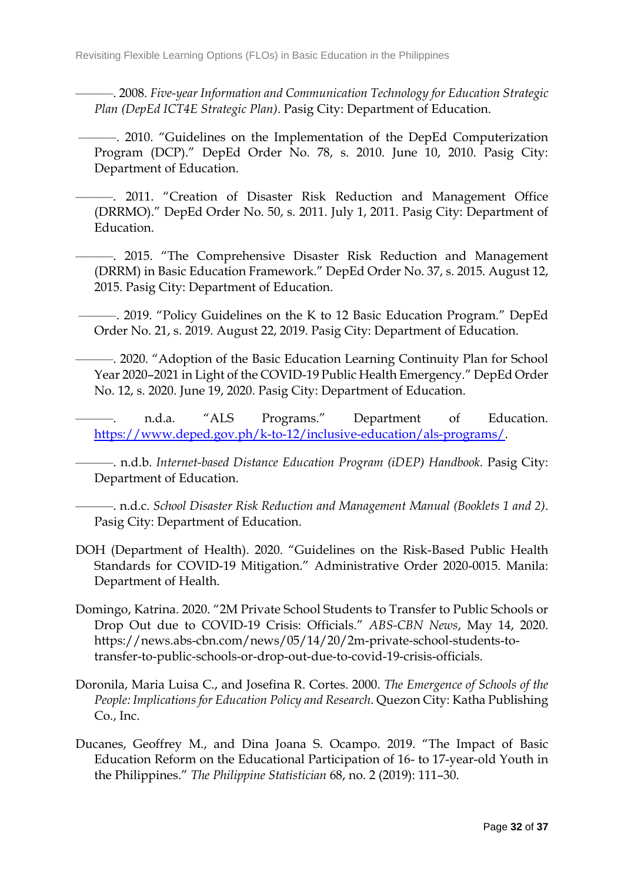———. 2008*. Five-year Information and Communication Technology for Education Strategic Plan (DepEd ICT4E Strategic Plan)*. Pasig City: Department of Education.

———. 2010. "Guidelines on the Implementation of the DepEd Computerization Program (DCP)." DepEd Order No. 78, s. 2010. June 10, 2010. Pasig City: Department of Education.

- -. 2011. "Creation of Disaster Risk Reduction and Management Office (DRRMO)." DepEd Order No. 50, s. 2011. July 1, 2011. Pasig City: Department of Education.
	- ———. 2015. "The Comprehensive Disaster Risk Reduction and Management (DRRM) in Basic Education Framework." DepEd Order No. 37, s. 2015. August 12, 2015. Pasig City: Department of Education.
	- ———. 2019. "Policy Guidelines on the K to 12 Basic Education Program." DepEd Order No. 21, s. 2019. August 22, 2019. Pasig City: Department of Education.
	- ———. 2020. "Adoption of the Basic Education Learning Continuity Plan for School Year 2020–2021 in Light of the COVID-19 Public Health Emergency." DepEd Order No. 12, s. 2020. June 19, 2020. Pasig City: Department of Education.
	- n.d.a. "ALS Programs." Department of Education. [https://www.deped.gov.ph/k-to-12/inclusive-education/als-programs/.](https://www.deped.gov.ph/k-to-12/inclusive-education/als-programs/)

———. n.d.b. *Internet-based Distance Education Program (iDEP) Handbook.* Pasig City: Department of Education.

———. n.d.c. *School Disaster Risk Reduction and Management Manual (Booklets 1 and 2)*. Pasig City: Department of Education.

- DOH (Department of Health). 2020. "Guidelines on the Risk-Based Public Health Standards for COVID-19 Mitigation." Administrative Order 2020-0015. Manila: Department of Health.
- Domingo, Katrina. 2020. "2M Private School Students to Transfer to Public Schools or Drop Out due to COVID-19 Crisis: Officials." *ABS-CBN News*, May 14, 2020. https://news.abs-cbn.com/news/05/14/20/2m-private-school-students-totransfer-to-public-schools-or-drop-out-due-to-covid-19-crisis-officials.
- Doronila, Maria Luisa C., and Josefina R. Cortes. 2000. *The Emergence of Schools of the People: Implications for Education Policy and Research*. Quezon City: Katha Publishing Co., Inc.
- Ducanes, Geoffrey M., and Dina Joana S. Ocampo. 2019. "The Impact of Basic Education Reform on the Educational Participation of 16- to 17-year-old Youth in the Philippines." *The Philippine Statistician* 68, no. 2 (2019): 111–30.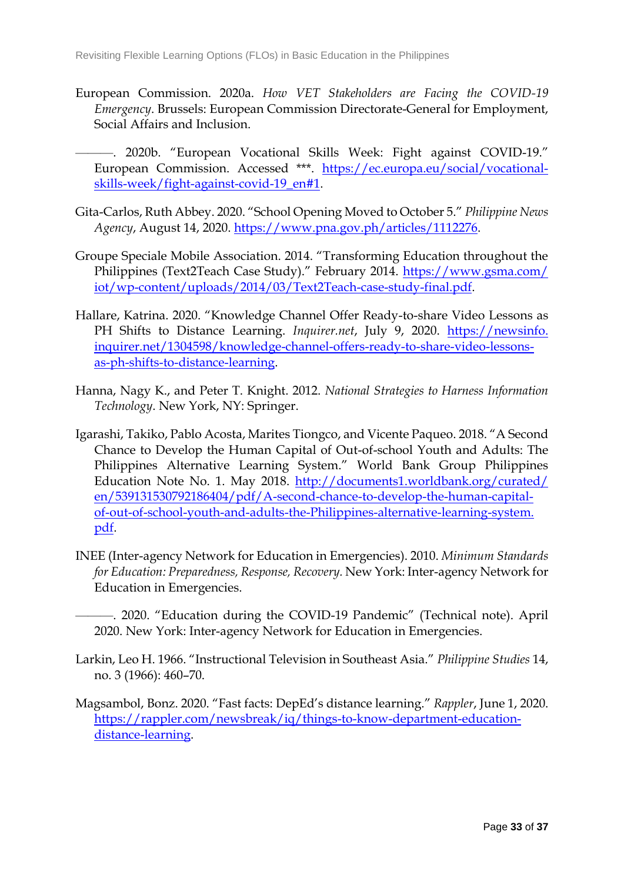- European Commission. 2020a. *How VET Stakeholders are Facing the COVID-19 Emergency*. Brussels: European Commission Directorate-General for Employment, Social Affairs and Inclusion.
- ———. 2020b. "European Vocational Skills Week: Fight against COVID-19." European Commission. Accessed \*\*\*. [https://ec.europa.eu/social/vocational](https://ec.europa.eu/social/vocational-skills-week/fight-against-covid-19_en#1)[skills-week/fight-against-covid-19\\_en#1.](https://ec.europa.eu/social/vocational-skills-week/fight-against-covid-19_en#1)
- Gita-Carlos, Ruth Abbey. 2020. "School Opening Moved to October 5." *Philippine News Agency*, August 14, 2020. [https://www.pna.gov.ph/articles/1112276.](https://www.pna.gov.ph/articles/1112276)
- Groupe Speciale Mobile Association. 2014. "Transforming Education throughout the Philippines (Text2Teach Case Study)." February 2014. [https://www.gsma.com/](https://www.gsma.com/iot/wp-content/uploads/2014/03/Text2Teach-case-study-final.pdf) [iot/wp-content/uploads/2014/03/Text2Teach-case-study-final.pdf.](https://www.gsma.com/iot/wp-content/uploads/2014/03/Text2Teach-case-study-final.pdf)
- Hallare, Katrina. 2020. "Knowledge Channel Offer Ready-to-share Video Lessons as PH Shifts to Distance Learning. *Inquirer.net*, July 9, 2020. [https://newsinfo.](https://newsinfo.inquirer.net/1304598/knowledge-channel-offers-ready-to-share-video-lessons-as-ph-shifts-to-distance-learning) [inquirer.net/1304598/knowledge-channel-offers-ready-to-share-video-lessons](https://newsinfo.inquirer.net/1304598/knowledge-channel-offers-ready-to-share-video-lessons-as-ph-shifts-to-distance-learning)[as-ph-shifts-to-distance-learning.](https://newsinfo.inquirer.net/1304598/knowledge-channel-offers-ready-to-share-video-lessons-as-ph-shifts-to-distance-learning)
- Hanna, Nagy K., and Peter T. Knight. 2012. *National Strategies to Harness Information Technology*. New York, NY: Springer.
- Igarashi, Takiko, Pablo Acosta, Marites Tiongco, and Vicente Paqueo. 2018. "A Second Chance to Develop the Human Capital of Out-of-school Youth and Adults: The Philippines Alternative Learning System." World Bank Group Philippines Education Note No. 1. May 2018. [http://documents1.worldbank.org/curated/](http://documents1.worldbank.org/curated/en/539131530792186404/pdf/A-second-chance-to-develop-the-human-capital-of-out-of-school-youth-and-adults-the-Philippines-alternative-learning-system.pdf) [en/539131530792186404/pdf/A-second-chance-to-develop-the-human-capital](http://documents1.worldbank.org/curated/en/539131530792186404/pdf/A-second-chance-to-develop-the-human-capital-of-out-of-school-youth-and-adults-the-Philippines-alternative-learning-system.pdf)[of-out-of-school-youth-and-adults-the-Philippines-alternative-learning-system.](http://documents1.worldbank.org/curated/en/539131530792186404/pdf/A-second-chance-to-develop-the-human-capital-of-out-of-school-youth-and-adults-the-Philippines-alternative-learning-system.pdf) [pdf.](http://documents1.worldbank.org/curated/en/539131530792186404/pdf/A-second-chance-to-develop-the-human-capital-of-out-of-school-youth-and-adults-the-Philippines-alternative-learning-system.pdf)
- INEE (Inter-agency Network for Education in Emergencies). 2010. *Minimum Standards for Education: Preparedness, Response, Recovery.* New York: Inter-agency Network for Education in Emergencies.
	- ———. 2020. "Education during the COVID-19 Pandemic" (Technical note). April 2020. New York: Inter-agency Network for Education in Emergencies.
- Larkin, Leo H. 1966. "Instructional Television in Southeast Asia." *Philippine Studies* 14, no. 3 (1966): 460–70.
- Magsambol, Bonz. 2020. "Fast facts: DepEd's distance learning." *Rappler*, June 1, 2020. [https://rappler.com/newsbreak/iq/things-to-know-department-education](https://rappler.com/newsbreak/iq/things-to-know-department-education-distance-learning)[distance-learning.](https://rappler.com/newsbreak/iq/things-to-know-department-education-distance-learning)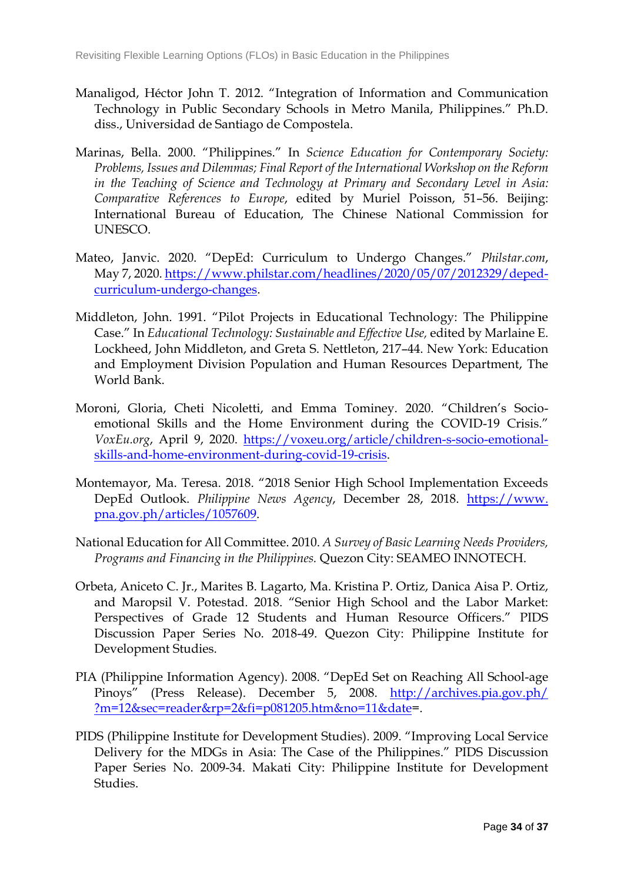- Manaligod, Héctor John T. 2012. "Integration of Information and Communication Technology in Public Secondary Schools in Metro Manila, Philippines." Ph.D. diss., Universidad de Santiago de Compostela.
- Marinas, Bella. 2000. "Philippines." In *Science Education for Contemporary Society: Problems, Issues and Dilemmas; Final Report of the International Workshop on the Reform in the Teaching of Science and Technology at Primary and Secondary Level in Asia: Comparative References to Europe*, edited by Muriel Poisson, 51–56. Beijing: International Bureau of Education, The Chinese National Commission for UNESCO.
- Mateo, Janvic. 2020. "DepEd: Curriculum to Undergo Changes." *Philstar.com*, May 7, 2020. [https://www.philstar.com/headlines/2020/05/07/2012329/deped](https://www.philstar.com/headlines/2020/05/07/2012329/deped-curriculum-undergo-changes)[curriculum-undergo-changes.](https://www.philstar.com/headlines/2020/05/07/2012329/deped-curriculum-undergo-changes)
- Middleton, John. 1991. "Pilot Projects in Educational Technology: The Philippine Case." In *Educational Technology: Sustainable and Effective Use,* edited by Marlaine E. Lockheed, John Middleton, and Greta S. Nettleton, 217–44. New York: Education and Employment Division Population and Human Resources Department, The World Bank.
- Moroni, Gloria, Cheti Nicoletti, and Emma Tominey. 2020. "Children's Socioemotional Skills and the Home Environment during the COVID-19 Crisis." *VoxEu.org*, April 9, 2020. [https://voxeu.org/article/children-s-socio-emotional](https://voxeu.org/article/children-s-socio-emotional-skills-and-home-environment-during-covid-19-crisis)[skills-and-home-environment-during-covid-19-crisis.](https://voxeu.org/article/children-s-socio-emotional-skills-and-home-environment-during-covid-19-crisis)
- Montemayor, Ma. Teresa. 2018. "2018 Senior High School Implementation Exceeds DepEd Outlook. *Philippine News Agency*, December 28, 2018. [https://www.](https://www.pna.gov.ph/articles/1057609) [pna.gov.ph/articles/1057609.](https://www.pna.gov.ph/articles/1057609)
- National Education for All Committee. 2010. *A Survey of Basic Learning Needs Providers, Programs and Financing in the Philippines.* Quezon City: SEAMEO INNOTECH.
- Orbeta, Aniceto C. Jr., Marites B. Lagarto, Ma. Kristina P. Ortiz, Danica Aisa P. Ortiz, and Maropsil V. Potestad. 2018. "Senior High School and the Labor Market: Perspectives of Grade 12 Students and Human Resource Officers." PIDS Discussion Paper Series No. 2018-49. Quezon City: Philippine Institute for Development Studies.
- PIA (Philippine Information Agency). 2008. "DepEd Set on Reaching All School-age Pinoys" (Press Release). December 5, 2008. [http://archives.pia.gov.ph/](http://archives.pia.gov.ph/%0b?m=12&sec=reader&rp=2&fi=p081205.htm&no=11&date=) [?m=12&sec=reader&rp=2&fi=p081205.htm&no=11&date=](http://archives.pia.gov.ph/%0b?m=12&sec=reader&rp=2&fi=p081205.htm&no=11&date=).
- PIDS (Philippine Institute for Development Studies). 2009. "Improving Local Service Delivery for the MDGs in Asia: The Case of the Philippines." PIDS Discussion Paper Series No. 2009-34. Makati City: Philippine Institute for Development Studies.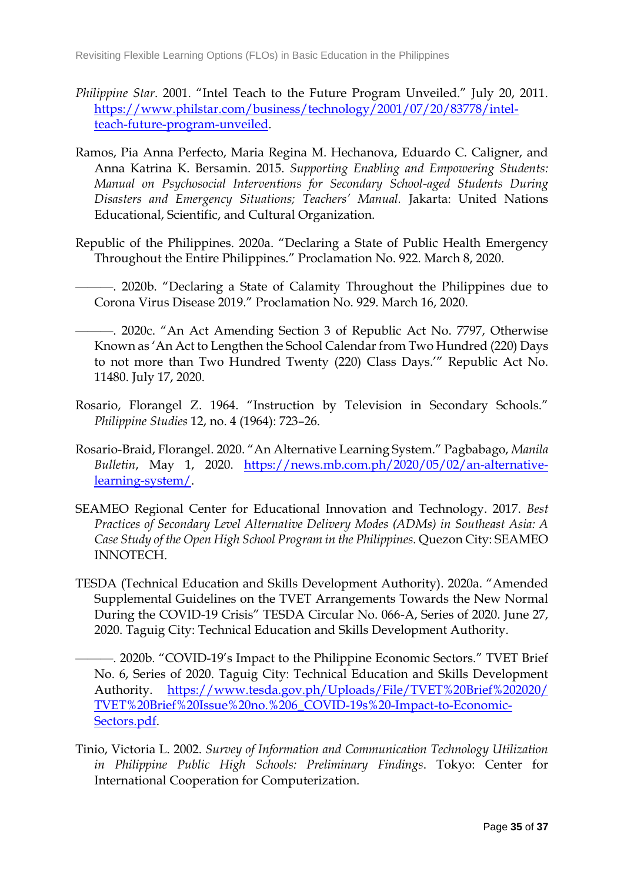- *Philippine Star*. 2001. "Intel Teach to the Future Program Unveiled." July 20, 2011. [https://www.philstar.com/business/technology/2001/07/20/83778/intel](https://www.philstar.com/business/technology/2001/07/20/83778/intel-teach-future-program-unveiled)[teach-future-program-unveiled.](https://www.philstar.com/business/technology/2001/07/20/83778/intel-teach-future-program-unveiled)
- Ramos, Pia Anna Perfecto, Maria Regina M. Hechanova, Eduardo C. Caligner, and Anna Katrina K. Bersamin. 2015. *Supporting Enabling and Empowering Students: Manual on Psychosocial Interventions for Secondary School-aged Students During Disasters and Emergency Situations; Teachers' Manual.* Jakarta: United Nations Educational, Scientific, and Cultural Organization.
- Republic of the Philippines. 2020a. "Declaring a State of Public Health Emergency Throughout the Entire Philippines." Proclamation No. 922. March 8, 2020.

———. 2020b. "Declaring a State of Calamity Throughout the Philippines due to Corona Virus Disease 2019." Proclamation No. 929. March 16, 2020.

- ———. 2020c. "An Act Amending Section 3 of Republic Act No. 7797, Otherwise Known as 'An Act to Lengthen the School Calendar from Two Hundred (220) Days to not more than Two Hundred Twenty (220) Class Days.'" Republic Act No. 11480. July 17, 2020.
- Rosario, Florangel Z. 1964. "Instruction by Television in Secondary Schools." *Philippine Studies* 12, no. 4 (1964): 723–26.
- Rosario-Braid, Florangel. 2020. "An Alternative Learning System." Pagbabago, *Manila Bulletin*, May 1, 2020. [https://news.mb.com.ph/2020/05/02/an-alternative](https://news.mb.com.ph/2020/05/02/an-alternative-learning-system/)[learning-system/.](https://news.mb.com.ph/2020/05/02/an-alternative-learning-system/)
- SEAMEO Regional Center for Educational Innovation and Technology. 2017. *Best Practices of Secondary Level Alternative Delivery Modes (ADMs) in Southeast Asia: A Case Study of the Open High School Program in the Philippines.* Quezon City: SEAMEO INNOTECH.
- TESDA (Technical Education and Skills Development Authority). 2020a. "Amended Supplemental Guidelines on the TVET Arrangements Towards the New Normal During the COVID-19 Crisis" TESDA Circular No. 066-A, Series of 2020. June 27, 2020. Taguig City: Technical Education and Skills Development Authority.
- ———. 2020b. "COVID-19's Impact to the Philippine Economic Sectors." TVET Brief No. 6, Series of 2020. Taguig City: Technical Education and Skills Development Authority. [https://www.tesda.gov.ph/Uploads/File/TVET%20Brief%202020/](https://www.tesda.gov.ph/Uploads/File/TVET%20Brief%202020/TVET%20Brief%20Issue%20no.%206_COVID-19s%20-Impact-to-Economic-Sectors.pdf) [TVET%20Brief%20Issue%20no.%206\\_COVID-19s%20-Impact-to-Economic-](https://www.tesda.gov.ph/Uploads/File/TVET%20Brief%202020/TVET%20Brief%20Issue%20no.%206_COVID-19s%20-Impact-to-Economic-Sectors.pdf)[Sectors.pdf.](https://www.tesda.gov.ph/Uploads/File/TVET%20Brief%202020/TVET%20Brief%20Issue%20no.%206_COVID-19s%20-Impact-to-Economic-Sectors.pdf)
- Tinio, Victoria L. 2002. *Survey of Information and Communication Technology Utilization in Philippine Public High Schools: Preliminary Findings*. Tokyo: Center for International Cooperation for Computerization.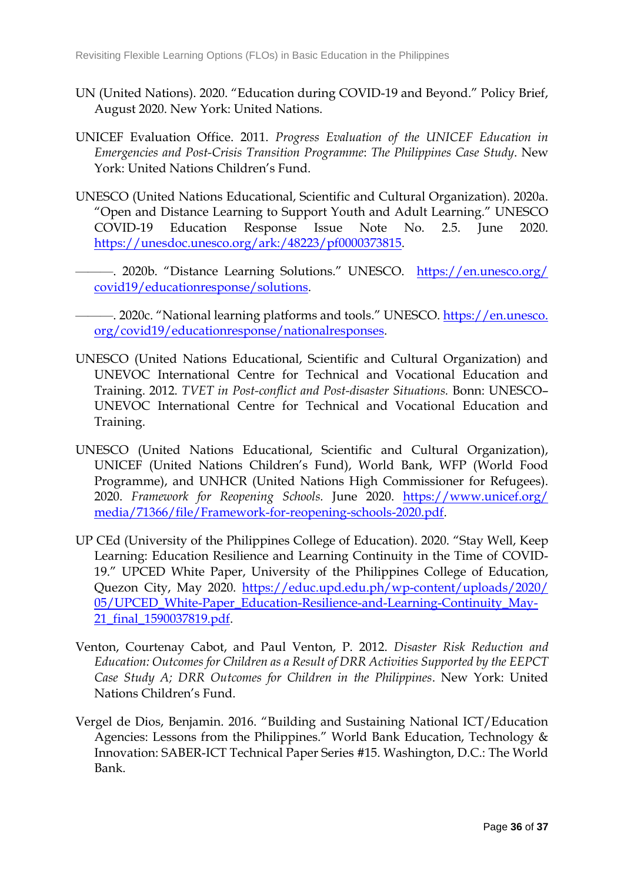- UN (United Nations). 2020. "Education during COVID-19 and Beyond." Policy Brief, August 2020. New York: United Nations.
- UNICEF Evaluation Office. 2011. *Progress Evaluation of the UNICEF Education in Emergencies and Post-Crisis Transition Programme*: *The Philippines Case Study*. New York: United Nations Children's Fund.
- UNESCO (United Nations Educational, Scientific and Cultural Organization). 2020a. "Open and Distance Learning to Support Youth and Adult Learning." UNESCO COVID-19 Education Response Issue Note No. 2.5. June 2020. [https://unesdoc.unesco.org/ark:/48223/pf0000373815.](https://unesdoc.unesco.org/ark:/48223/pf0000373815)
- ———. 2020b. "Distance Learning Solutions." UNESCO. [https://en.unesco.org/](https://en.unesco.org/covid19/educationresponse/solutions) [covid19/educationresponse/solutions.](https://en.unesco.org/covid19/educationresponse/solutions)
- —. 2020c. "National learning platforms and tools." UNESCO. [https://en.unesco.](https://en.unesco.org/covid19/educationresponse/nationalresponses) [org/covid19/educationresponse/nationalresponses.](https://en.unesco.org/covid19/educationresponse/nationalresponses)
- UNESCO (United Nations Educational, Scientific and Cultural Organization) and UNEVOC International Centre for Technical and Vocational Education and Training. 2012. *TVET in Post-conflict and Post-disaster Situations.* Bonn: UNESCO– UNEVOC International Centre for Technical and Vocational Education and Training.
- UNESCO (United Nations Educational, Scientific and Cultural Organization), UNICEF (United Nations Children's Fund), World Bank, WFP (World Food Programme), and UNHCR (United Nations High Commissioner for Refugees). 2020. *Framework for Reopening Schools.* June 2020. [https://www.unicef.org/](https://www.unicef.org/media/71366/file/Framework-for-reopening-schools-2020.pdf) [media/71366/file/Framework-for-reopening-schools-2020.pdf.](https://www.unicef.org/media/71366/file/Framework-for-reopening-schools-2020.pdf)
- UP CEd (University of the Philippines College of Education). 2020. "Stay Well, Keep Learning: Education Resilience and Learning Continuity in the Time of COVID-19." UPCED White Paper, University of the Philippines College of Education, Quezon City, May 2020. [https://educ.upd.edu.ph/wp-content/uploads/2020/](https://educ.upd.edu.ph/wp-content/uploads/2020/05/UPCED_White-Paper_Education-Resilience-and-Learning-Continuity_May-21_final_1590037819.pdf) [05/UPCED\\_White-Paper\\_Education-Resilience-and-Learning-Continuity\\_May-](https://educ.upd.edu.ph/wp-content/uploads/2020/05/UPCED_White-Paper_Education-Resilience-and-Learning-Continuity_May-21_final_1590037819.pdf)[21\\_final\\_1590037819.pdf.](https://educ.upd.edu.ph/wp-content/uploads/2020/05/UPCED_White-Paper_Education-Resilience-and-Learning-Continuity_May-21_final_1590037819.pdf)
- Venton, Courtenay Cabot, and Paul Venton, P. 2012. *Disaster Risk Reduction and Education: Outcomes for Children as a Result of DRR Activities Supported by the EEPCT Case Study A; DRR Outcomes for Children in the Philippines*. New York: United Nations Children's Fund.
- Vergel de Dios, Benjamin. 2016. "Building and Sustaining National ICT/Education Agencies: Lessons from the Philippines." World Bank Education, Technology & Innovation: SABER-ICT Technical Paper Series #15. Washington, D.C.: The World Bank.